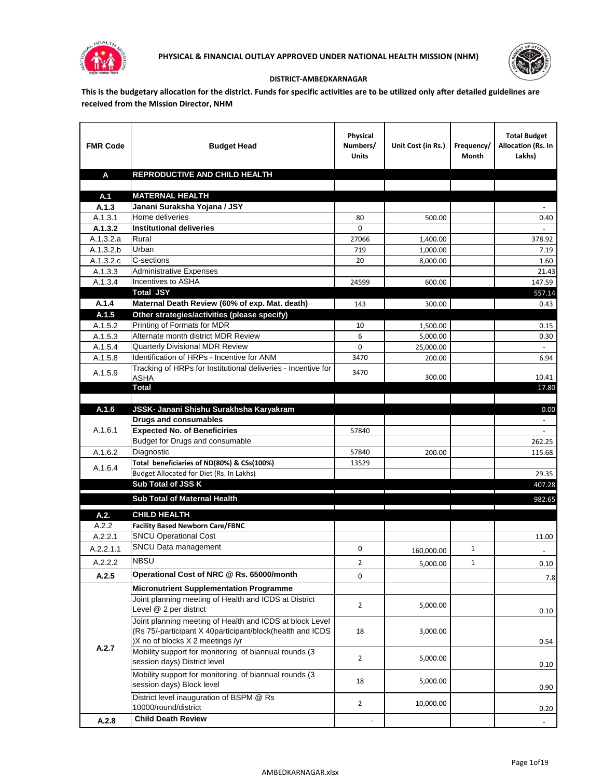



## **DISTRICT-AMBEDKARNAGAR**

**This is the budgetary allocation for the district. Funds for specific activities are to be utilized only after detailed guidelines are received from the Mission Director, NHM**

| <b>FMR Code</b>      | <b>Budget Head</b>                                                  | Physical<br>Numbers/<br><b>Units</b>                                            | Unit Cost (in Rs.) | Frequency/<br>Month           | <b>Total Budget</b><br>Allocation (Rs. In<br>Lakhs) |
|----------------------|---------------------------------------------------------------------|---------------------------------------------------------------------------------|--------------------|-------------------------------|-----------------------------------------------------|
| A                    | REPRODUCTIVE AND CHILD HEALTH                                       |                                                                                 |                    |                               |                                                     |
|                      |                                                                     |                                                                                 |                    |                               |                                                     |
| A.1                  | <b>MATERNAL HEALTH</b>                                              |                                                                                 |                    |                               |                                                     |
| A.1.3                | Janani Suraksha Yojana / JSY                                        |                                                                                 |                    |                               |                                                     |
| A.1.3.1              | Home deliveries                                                     | 80                                                                              | 500.00             |                               | 0.40                                                |
| A.1.3.2              | <b>Institutional deliveries</b>                                     | 0                                                                               |                    |                               |                                                     |
| A.1.3.2.a            | Rural                                                               | 27066                                                                           | 1,400.00           |                               | 378.92                                              |
| A.1.3.2.b            | Urban<br>C-sections                                                 | 719                                                                             | 1,000.00           |                               | 7.19                                                |
| A.1.3.2.c<br>A.1.3.3 | <b>Administrative Expenses</b>                                      | 20                                                                              | 8,000.00           |                               | 1.60                                                |
| A.1.3.4              | Incentives to ASHA                                                  | 24599                                                                           | 600.00             |                               | 21.43<br>147.59                                     |
|                      | <b>Total JSY</b>                                                    |                                                                                 |                    |                               | 557.14                                              |
| A.1.4                | Maternal Death Review (60% of exp. Mat. death)                      | 143                                                                             | 300.00             |                               | 0.43                                                |
| A.1.5                | Other strategies/activities (please specify)                        |                                                                                 |                    |                               |                                                     |
| A.1.5.2              | Printing of Formats for MDR                                         | 10                                                                              | 1,500.00           |                               | 0.15                                                |
| A.1.5.3              | Alternate month district MDR Review                                 | 6                                                                               | 5,000.00           |                               | 0.30                                                |
| A.1.5.4              | <b>Quarterly Divisional MDR Review</b>                              | 0                                                                               | 25,000.00          |                               |                                                     |
| A.1.5.8              | Identification of HRPs - Incentive for ANM                          | 3470                                                                            | 200.00             |                               | 6.94                                                |
| A.1.5.9              | Tracking of HRPs for Institutional deliveries - Incentive for       | 3470                                                                            |                    |                               |                                                     |
|                      | ASHA                                                                |                                                                                 | 300.00             |                               | 10.41                                               |
|                      | Total                                                               |                                                                                 |                    |                               | 17.80                                               |
|                      |                                                                     |                                                                                 |                    |                               |                                                     |
| A.1.6                | JSSK- Janani Shishu Surakhsha Karyakram                             |                                                                                 |                    |                               | 0.00                                                |
| A.1.6.1              | <b>Drugs and consumables</b><br><b>Expected No. of Beneficiries</b> | 57840                                                                           |                    |                               | $\sim$<br>$\omega$                                  |
|                      | Budget for Drugs and consumable                                     |                                                                                 |                    |                               | 262.25                                              |
| A.1.6.2              | Diagnostic                                                          | 57840                                                                           | 200.00             |                               | 115.68                                              |
|                      | Total beneficiaries of ND(80%) & CSs(100%)                          | 13529                                                                           |                    |                               |                                                     |
| A.1.6.4              | Budget Allocated for Diet (Rs. In Lakhs)                            |                                                                                 |                    |                               | 29.35                                               |
|                      | <b>Sub Total of JSS K</b>                                           |                                                                                 |                    |                               | 407.28                                              |
|                      | Sub Total of Maternal Health                                        |                                                                                 |                    |                               | 982.65                                              |
|                      |                                                                     | the contract of the contract of the contract of the contract of the contract of |                    | the company of the company of |                                                     |
| A.2.                 | <b>CHILD HEALTH</b>                                                 |                                                                                 |                    |                               |                                                     |
| A.2.2                | <b>Facility Based Newborn Care/FBNC</b>                             |                                                                                 |                    |                               |                                                     |
| A.2.2.1              | <b>SNCU Operational Cost</b>                                        |                                                                                 |                    |                               | 11.00                                               |
| A.2.2.1.1            | SNCU Data management                                                | 0                                                                               | 160,000.00         | 1                             | $\sim$                                              |
| A.2.2.2              | <b>NBSU</b>                                                         | $\overline{2}$                                                                  | 5,000.00           | 1                             | 0.10                                                |
| A.2.5                | Operational Cost of NRC @ Rs. 65000/month                           | 0                                                                               |                    |                               | 7.8                                                 |
|                      | <b>Micronutrient Supplementation Programme</b>                      |                                                                                 |                    |                               |                                                     |
|                      | Joint planning meeting of Health and ICDS at District               |                                                                                 |                    |                               |                                                     |
|                      | Level @ 2 per district                                              | $\overline{2}$                                                                  | 5,000.00           |                               | 0.10                                                |
|                      | Joint planning meeting of Health and ICDS at block Level            |                                                                                 |                    |                               |                                                     |
|                      | (Rs 75/-participant X 40participant/block(health and ICDS           | 18                                                                              | 3,000.00           |                               |                                                     |
| A.2.7                | )X no of blocks X 2 meetings /yr                                    |                                                                                 |                    |                               | 0.54                                                |
|                      | Mobility support for monitoring of biannual rounds (3               | $\overline{2}$                                                                  | 5,000.00           |                               |                                                     |
|                      | session days) District level                                        |                                                                                 |                    |                               | 0.10                                                |
|                      | Mobility support for monitoring of biannual rounds (3               | 18                                                                              | 5,000.00           |                               |                                                     |
|                      | session days) Block level                                           |                                                                                 |                    |                               | 0.90                                                |
|                      | District level inauguration of BSPM @ Rs                            | $\overline{2}$                                                                  | 10,000.00          |                               |                                                     |
|                      | 10000/round/district                                                |                                                                                 |                    |                               | 0.20                                                |
| A.2.8                | <b>Child Death Review</b>                                           |                                                                                 |                    |                               |                                                     |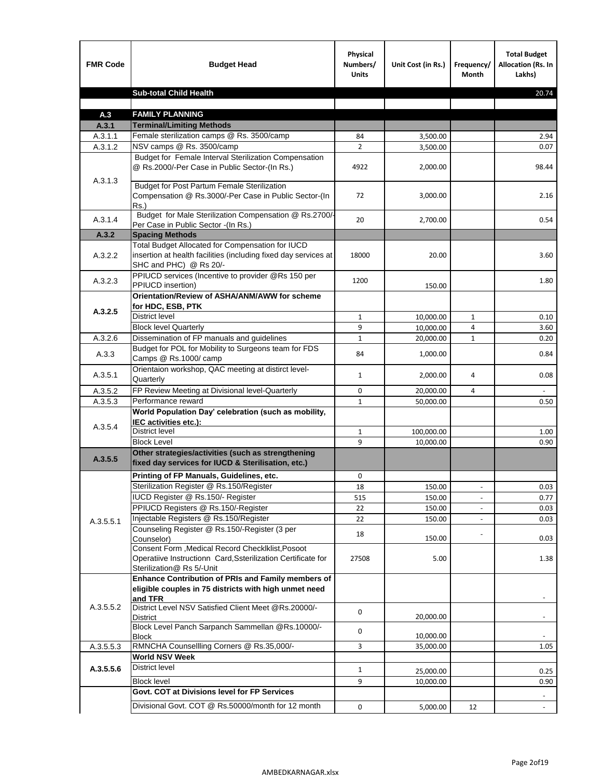| <b>FMR Code</b> | <b>Budget Head</b>                                                                                                                             | Physical<br>Numbers/<br><b>Units</b> | Unit Cost (in Rs.) | Frequency/<br><b>Month</b> | <b>Total Budget</b><br>Allocation (Rs. In<br>Lakhs) |
|-----------------|------------------------------------------------------------------------------------------------------------------------------------------------|--------------------------------------|--------------------|----------------------------|-----------------------------------------------------|
|                 | <b>Sub-total Child Health</b>                                                                                                                  |                                      |                    |                            | 20.74                                               |
|                 |                                                                                                                                                |                                      |                    |                            |                                                     |
| A.3             | <b>FAMILY PLANNING</b>                                                                                                                         |                                      |                    |                            |                                                     |
| A.3.1           | <b>Terminal/Limiting Methods</b>                                                                                                               |                                      |                    |                            |                                                     |
| A.3.1.1         | Female sterilization camps @ Rs. 3500/camp                                                                                                     | 84                                   | 3,500.00           |                            | 2.94                                                |
| A.3.1.2         | NSV camps @ Rs. 3500/camp<br>Budget for Female Interval Sterilization Compensation                                                             | $\overline{2}$                       | 3,500.00           |                            | 0.07                                                |
| A.3.1.3         | @ Rs.2000/-Per Case in Public Sector-(In Rs.)                                                                                                  | 4922                                 | 2,000.00           |                            | 98.44                                               |
|                 | <b>Budget for Post Partum Female Sterilization</b><br>Compensation @ Rs.3000/-Per Case in Public Sector-(In<br>$Rs.$ )                         | 72                                   | 3,000.00           |                            | 2.16                                                |
| A.3.1.4         | Budget for Male Sterilization Compensation @ Rs.2700/-<br>Per Case in Public Sector -(In Rs.)                                                  | 20                                   | 2,700.00           |                            | 0.54                                                |
| A.3.2           | <b>Spacing Methods</b>                                                                                                                         |                                      |                    |                            |                                                     |
| A.3.2.2         | Total Budget Allocated for Compensation for IUCD<br>insertion at health facilities (including fixed day services at<br>SHC and PHC) @ Rs 20/-  | 18000                                | 20.00              |                            | 3.60                                                |
| A.3.2.3         | PPIUCD services (Incentive to provider @Rs 150 per<br>PPIUCD insertion)                                                                        | 1200                                 | 150.00             |                            | 1.80                                                |
| A.3.2.5         | Orientation/Review of ASHA/ANM/AWW for scheme<br>for HDC, ESB, PTK                                                                             |                                      |                    |                            |                                                     |
|                 | <b>District level</b>                                                                                                                          | $\mathbf{1}$                         | 10,000.00          | $\mathbf{1}$               | 0.10                                                |
|                 | <b>Block level Quarterly</b>                                                                                                                   | 9                                    | 10,000.00          | 4                          | 3.60                                                |
| A.3.2.6         | Dissemination of FP manuals and guidelines                                                                                                     | $\mathbf{1}$                         | 20,000.00          | $\mathbf{1}$               | 0.20                                                |
| A.3.3           | Budget for POL for Mobility to Surgeons team for FDS<br>Camps @ Rs.1000/ camp                                                                  | 84                                   | 1,000.00           |                            | 0.84                                                |
| A.3.5.1         | Orientaion workshop, QAC meeting at distirct level-<br>Quarterly                                                                               | $\mathbf{1}$                         | 2,000.00           | 4                          | 0.08                                                |
| A.3.5.2         | FP Review Meeting at Divisional level-Quarterly                                                                                                | 0                                    | 20,000.00          | 4                          |                                                     |
| A.3.5.3         | Performance reward                                                                                                                             | $\mathbf{1}$                         | 50,000.00          |                            | 0.50                                                |
| A.3.5.4         | World Population Day' celebration (such as mobility,<br>IEC activities etc.):                                                                  |                                      |                    |                            |                                                     |
|                 | District level                                                                                                                                 | $\mathbf{1}$                         | 100,000.00         |                            | 1.00                                                |
|                 | <b>Block Level</b>                                                                                                                             | 9                                    | 10,000.00          |                            | 0.90                                                |
| A.3.5.5         | Other strategies/activities (such as strengthening<br>fixed day services for IUCD & Sterilisation, etc.)                                       |                                      |                    |                            |                                                     |
|                 | Printing of FP Manuals, Guidelines, etc.                                                                                                       | 0                                    |                    |                            |                                                     |
|                 | Sterilization Register @ Rs.150/Register                                                                                                       | 18                                   | 150.00             | $\centerdot$               | 0.03                                                |
|                 | IUCD Register @ Rs.150/- Register                                                                                                              | 515                                  | 150.00             |                            | 0.77                                                |
|                 | PPIUCD Registers @ Rs.150/-Register                                                                                                            | 22                                   | 150.00             |                            | 0.03                                                |
| A.3.5.5.1       | Injectable Registers @ Rs.150/Register                                                                                                         | 22                                   | 150.00             |                            | 0.03                                                |
|                 | Counseling Register @ Rs.150/-Register (3 per<br>Counselor)                                                                                    | 18                                   | 150.00             |                            | 0.03                                                |
|                 | Consent Form , Medical Record CheckIklist, Posoot<br>Operatiive Instructionn Card, Ssterilization Certificate for<br>Sterilization@ Rs 5/-Unit | 27508                                | 5.00               |                            | 1.38                                                |
|                 | Enhance Contribution of PRIs and Family members of<br>eligible couples in 75 districts with high unmet need<br>and TFR                         |                                      |                    |                            |                                                     |
| A.3.5.5.2       | District Level NSV Satisfied Client Meet @Rs.20000/-<br>District                                                                               | 0                                    | 20,000.00          |                            |                                                     |
|                 | Block Level Panch Sarpanch Sammellan @Rs.10000/-<br><b>Block</b>                                                                               | 0                                    | 10,000.00          |                            |                                                     |
| A.3.5.5.3       | RMNCHA Counsellling Corners @ Rs.35,000/-                                                                                                      | 3                                    | 35,000.00          |                            | 1.05                                                |
|                 | <b>World NSV Week</b>                                                                                                                          |                                      |                    |                            |                                                     |
| A.3.5.5.6       | <b>District level</b>                                                                                                                          | $\mathbf{1}$                         | 25,000.00          |                            | 0.25                                                |
|                 | <b>Block level</b>                                                                                                                             | 9                                    | 10,000.00          |                            | 0.90                                                |
|                 | Govt. COT at Divisions level for FP Services                                                                                                   |                                      |                    |                            |                                                     |
|                 | Divisional Govt. COT @ Rs.50000/month for 12 month                                                                                             | 0                                    | 5,000.00           | 12                         | $\omega$                                            |
|                 |                                                                                                                                                |                                      |                    |                            |                                                     |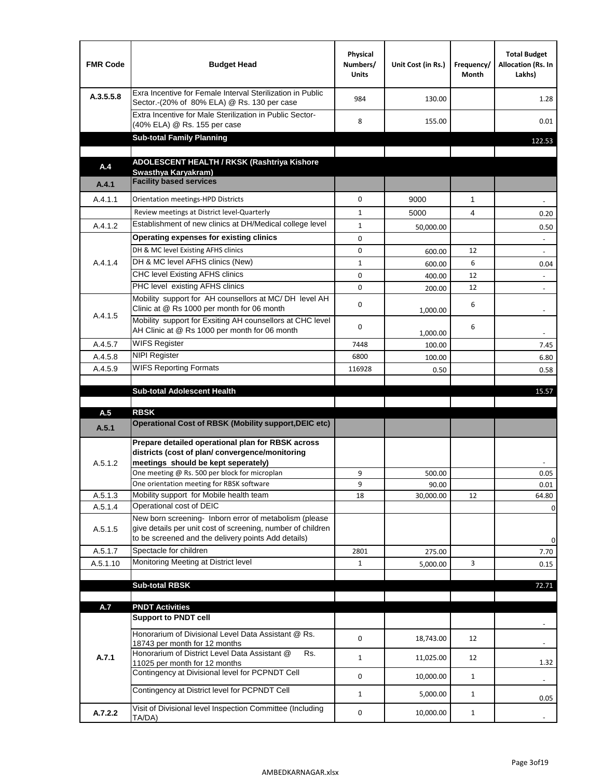| <b>FMR Code</b> | <b>Budget Head</b>                                                                                                                                                           | Physical<br>Numbers/<br><b>Units</b> | Unit Cost (in Rs.) | Frequency/<br>Month | <b>Total Budget</b><br>Allocation (Rs. In<br>Lakhs) |
|-----------------|------------------------------------------------------------------------------------------------------------------------------------------------------------------------------|--------------------------------------|--------------------|---------------------|-----------------------------------------------------|
| A.3.5.5.8       | Exra Incentive for Female Interval Sterilization in Public<br>Sector.-(20% of 80% ELA) @ Rs. 130 per case                                                                    | 984                                  | 130.00             |                     | 1.28                                                |
|                 | Extra Incentive for Male Sterilization in Public Sector-<br>(40% ELA) @ Rs. 155 per case                                                                                     | 8                                    | 155.00             |                     | 0.01                                                |
|                 | <b>Sub-total Family Planning</b>                                                                                                                                             |                                      |                    |                     | 122.53                                              |
|                 | ADOLESCENT HEALTH / RKSK (Rashtriya Kishore                                                                                                                                  |                                      |                    |                     |                                                     |
| A.4             | Swasthya Karyakram)                                                                                                                                                          |                                      |                    |                     |                                                     |
| A.4.1           | <b>Facility based services</b>                                                                                                                                               |                                      |                    |                     |                                                     |
| A.4.1.1         | Orientation meetings-HPD Districts                                                                                                                                           | $\Omega$                             | 9000               | $\mathbf{1}$        |                                                     |
|                 | Review meetings at District level-Quarterly                                                                                                                                  | $\mathbf{1}$                         | 5000               | 4                   | 0.20                                                |
| A.4.1.2         | Establishment of new clinics at DH/Medical college level                                                                                                                     | $\mathbf{1}$                         | 50,000.00          |                     | 0.50                                                |
|                 | Operating expenses for existing clinics                                                                                                                                      | 0                                    |                    |                     |                                                     |
|                 | DH & MC level Existing AFHS clinics                                                                                                                                          | 0                                    | 600.00             | 12                  |                                                     |
| A.4.1.4         | DH & MC level AFHS clinics (New)                                                                                                                                             | $\mathbf{1}$                         | 600.00             | 6                   | 0.04                                                |
|                 | CHC level Existing AFHS clinics                                                                                                                                              | 0                                    | 400.00             | 12                  | $\overline{\phantom{a}}$                            |
|                 | PHC level existing AFHS clinics                                                                                                                                              | $\Omega$                             | 200.00             | 12                  | $\blacksquare$                                      |
| A.4.1.5         | Mobility support for AH counsellors at MC/DH level AH<br>Clinic at @ Rs 1000 per month for 06 month                                                                          | 0                                    | 1,000.00           | 6                   |                                                     |
|                 | Mobility support for Exsiting AH counsellors at CHC level<br>AH Clinic at @ Rs 1000 per month for 06 month                                                                   | 0                                    | 1,000.00           | 6                   |                                                     |
| A.4.5.7         | <b>WIFS Register</b>                                                                                                                                                         | 7448                                 | 100.00             |                     | 7.45                                                |
| A.4.5.8         | <b>NIPI Register</b>                                                                                                                                                         | 6800                                 | 100.00             |                     | 6.80                                                |
| A.4.5.9         | <b>WIFS Reporting Formats</b>                                                                                                                                                | 116928                               | 0.50               |                     | 0.58                                                |
|                 |                                                                                                                                                                              |                                      |                    |                     |                                                     |
|                 | <b>Sub-total Adolescent Health</b>                                                                                                                                           |                                      |                    |                     | 15.57                                               |
| A.5             | <b>RBSK</b>                                                                                                                                                                  |                                      |                    |                     |                                                     |
| A.5.1           | <b>Operational Cost of RBSK (Mobility support, DEIC etc)</b>                                                                                                                 |                                      |                    |                     |                                                     |
| A.5.1.2         | Prepare detailed operational plan for RBSK across<br>districts (cost of plan/convergence/monitoring<br>meetings should be kept seperately)                                   |                                      |                    |                     |                                                     |
|                 | One meeting @ Rs. 500 per block for microplan                                                                                                                                | 9                                    | 500.00             |                     | 0.05                                                |
|                 | One orientation meeting for RBSK software                                                                                                                                    | 9                                    | 90.00              |                     | 0.01                                                |
| A.5.1.3         | Mobility support for Mobile health team                                                                                                                                      | 18                                   | 30,000.00          | 12                  | 64.80                                               |
| A.5.1.4         | Operational cost of DEIC                                                                                                                                                     |                                      |                    |                     | 0                                                   |
| A.5.1.5         | New born screening- Inborn error of metabolism (please<br>give details per unit cost of screening, number of children<br>to be screened and the delivery points Add details) |                                      |                    |                     | 0                                                   |
| A.5.1.7         | Spectacle for children                                                                                                                                                       | 2801                                 | 275.00             |                     | 7.70                                                |
| A.5.1.10        | Monitoring Meeting at District level                                                                                                                                         | $\mathbf{1}$                         | 5,000.00           | 3                   | 0.15                                                |
|                 |                                                                                                                                                                              |                                      |                    |                     |                                                     |
|                 | <b>Sub-total RBSK</b>                                                                                                                                                        |                                      |                    |                     | 72.71                                               |
|                 |                                                                                                                                                                              |                                      |                    |                     |                                                     |
| A.7             | <b>PNDT Activities</b><br><b>Support to PNDT cell</b>                                                                                                                        |                                      |                    |                     |                                                     |
|                 | Honorarium of Divisional Level Data Assistant @ Rs.                                                                                                                          | 0                                    | 18,743.00          | 12                  |                                                     |
| A.7.1           | 18743 per month for 12 months<br>Honorarium of District Level Data Assistant @<br>Rs.                                                                                        | $\mathbf{1}$                         | 11,025.00          | 12                  |                                                     |
|                 | 11025 per month for 12 months<br>Contingency at Divisional level for PCPNDT Cell                                                                                             | 0                                    | 10,000.00          | $\mathbf{1}$        | 1.32<br>$\overline{\phantom{a}}$                    |
|                 | Contingency at District level for PCPNDT Cell                                                                                                                                | $\mathbf{1}$                         | 5,000.00           | $\mathbf{1}$        | 0.05                                                |
| A.7.2.2         | Visit of Divisional level Inspection Committee (Including<br>TA/DA)                                                                                                          | 0                                    | 10,000.00          | $\mathbf{1}$        |                                                     |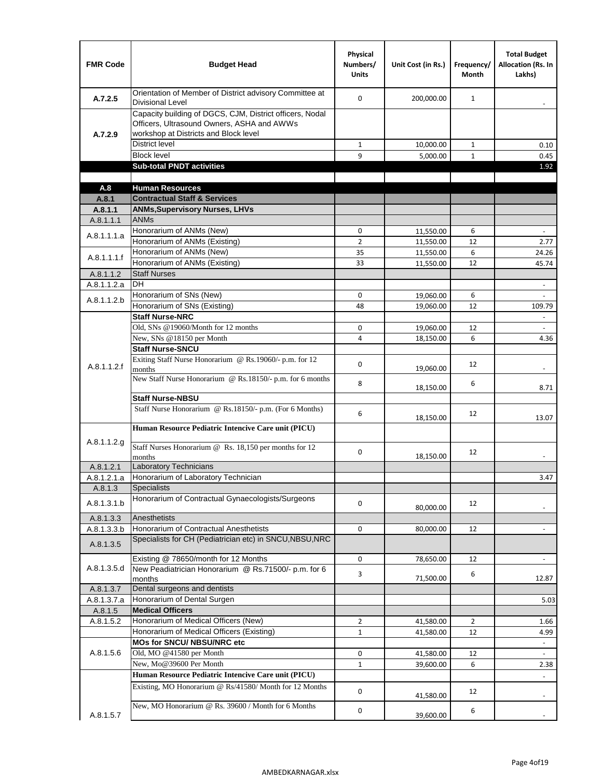| <b>FMR Code</b>          | <b>Budget Head</b>                                                                                                                              | Physical<br>Numbers/<br><b>Units</b> | Unit Cost (in Rs.)     | Frequency/<br><b>Month</b> | <b>Total Budget</b><br><b>Allocation (Rs. In</b><br>Lakhs) |
|--------------------------|-------------------------------------------------------------------------------------------------------------------------------------------------|--------------------------------------|------------------------|----------------------------|------------------------------------------------------------|
| A.7.2.5                  | Orientation of Member of District advisory Committee at<br><b>Divisional Level</b>                                                              | $\Omega$                             | 200,000.00             | $\mathbf{1}$               | $\overline{\phantom{m}}$                                   |
| A.7.2.9                  | Capacity building of DGCS, CJM, District officers, Nodal<br>Officers, Ultrasound Owners, ASHA and AWWs<br>workshop at Districts and Block level |                                      |                        |                            |                                                            |
|                          | <b>District level</b>                                                                                                                           | $\mathbf{1}$                         | 10,000.00              | 1                          | 0.10                                                       |
|                          | <b>Block level</b>                                                                                                                              | 9                                    | 5,000.00               | $\mathbf{1}$               | 0.45                                                       |
|                          | <b>Sub-total PNDT activities</b>                                                                                                                |                                      |                        |                            | 1.92                                                       |
|                          |                                                                                                                                                 |                                      |                        |                            |                                                            |
| A.8                      | <b>Human Resources</b>                                                                                                                          |                                      |                        |                            |                                                            |
| A.8.1                    | <b>Contractual Staff &amp; Services</b>                                                                                                         |                                      |                        |                            |                                                            |
| A.8.1.1                  | <b>ANMs, Supervisory Nurses, LHVs</b><br><b>ANMs</b>                                                                                            |                                      |                        |                            |                                                            |
| A.8.1.1.1                | Honorarium of ANMs (New)                                                                                                                        | 0                                    |                        | 6                          | $\blacksquare$                                             |
| A.8.1.1.1.a              | Honorarium of ANMs (Existing)                                                                                                                   | $\overline{2}$                       | 11,550.00<br>11,550.00 | 12                         | 2.77                                                       |
|                          | Honorarium of ANMs (New)                                                                                                                        | 35                                   | 11,550.00              | 6                          | 24.26                                                      |
| A.8.1.1.1.f              | Honorarium of ANMs (Existing)                                                                                                                   | 33                                   | 11,550.00              | 12                         | 45.74                                                      |
| A.8.1.1.2                | <b>Staff Nurses</b>                                                                                                                             |                                      |                        |                            |                                                            |
| A.8.1.1.2.a              | <b>DH</b>                                                                                                                                       |                                      |                        |                            | $\blacksquare$                                             |
|                          | Honorarium of SNs (New)                                                                                                                         | 0                                    | 19,060.00              | 6                          |                                                            |
| A.8.1.1.2.b              | Honorarium of SNs (Existing)                                                                                                                    | 48                                   | 19.060.00              | 12                         | 109.79                                                     |
|                          | <b>Staff Nurse-NRC</b>                                                                                                                          |                                      |                        |                            | $\Box$                                                     |
|                          | Old, SNs @19060/Month for 12 months                                                                                                             | 0                                    | 19,060.00              | 12                         | $\overline{\phantom{a}}$                                   |
|                          | New, SNs @18150 per Month                                                                                                                       | 4                                    | 18,150.00              | 6                          | 4.36                                                       |
|                          | <b>Staff Nurse-SNCU</b>                                                                                                                         |                                      |                        |                            |                                                            |
| A.8.1.1.2.f              | Exiting Staff Nurse Honorarium @ Rs.19060/- p.m. for 12<br>months                                                                               | $\Omega$                             | 19,060.00              | 12                         | -                                                          |
|                          | New Staff Nurse Honorarium @ Rs.18150/- p.m. for 6 months                                                                                       | 8                                    | 18,150.00              | 6                          | 8.71                                                       |
|                          | <b>Staff Nurse-NBSU</b>                                                                                                                         |                                      |                        |                            |                                                            |
|                          | Staff Nurse Honorarium @ Rs.18150/- p.m. (For 6 Months)<br>Human Resource Pediatric Intencive Care unit (PICU)                                  | 6                                    | 18,150.00              | 12                         | 13.07                                                      |
|                          |                                                                                                                                                 |                                      |                        |                            |                                                            |
| A.8.1.1.2.g              | Staff Nurses Honorarium @ Rs. 18,150 per months for 12<br>months                                                                                | 0                                    | 18,150.00              | 12                         |                                                            |
| A.8.1.2.1                | Laboratory Technicians                                                                                                                          |                                      |                        |                            |                                                            |
| A.8.1.2.1.a              | Honorarium of Laboratory Technician                                                                                                             |                                      |                        |                            | 3.47                                                       |
| A.8.1.3                  | <b>Specialists</b>                                                                                                                              |                                      |                        |                            |                                                            |
| A.8.1.3.1.b              | Honorarium of Contractual Gynaecologists/Surgeons                                                                                               | $\mathbf 0$                          | 80,000.00              | 12                         |                                                            |
| A.8.1.3.3                | Anesthetists<br>Honorarium of Contractual Anesthetists                                                                                          |                                      |                        |                            |                                                            |
| A.8.1.3.3.b<br>A.8.1.3.5 | Specialists for CH (Pediatrician etc) in SNCU, NBSU, NRC                                                                                        | 0                                    | 80,000.00              | 12                         |                                                            |
|                          | Existing @ 78650/month for 12 Months                                                                                                            | 0                                    | 78,650.00              | 12                         | $\blacksquare$                                             |
| A.8.1.3.5.d              | New Peadiatrician Honorarium @ Rs.71500/- p.m. for 6                                                                                            | 3                                    | 71,500.00              | 6                          | 12.87                                                      |
| A.8.1.3.7                | months<br>Dental surgeons and dentists                                                                                                          |                                      |                        |                            |                                                            |
| A.8.1.3.7.a              | Honorarium of Dental Surgen                                                                                                                     |                                      |                        |                            | 5.03                                                       |
| A.8.1.5                  | <b>Medical Officers</b>                                                                                                                         |                                      |                        |                            |                                                            |
| A.8.1.5.2                | Honorarium of Medical Officers (New)                                                                                                            | $\overline{2}$                       | 41,580.00              | $\overline{2}$             | 1.66                                                       |
|                          | Honorarium of Medical Officers (Existing)                                                                                                       | $\mathbf{1}$                         | 41,580.00              | 12                         | 4.99                                                       |
|                          | MOs for SNCU/ NBSU/NRC etc                                                                                                                      |                                      |                        |                            |                                                            |
| A.8.1.5.6                | Old, MO @41580 per Month                                                                                                                        | 0                                    | 41,580.00              | 12                         | $\omega$                                                   |
|                          | New, Mo@39600 Per Month                                                                                                                         | $\mathbf{1}$                         | 39,600.00              | 6                          | 2.38                                                       |
|                          | Human Resource Pediatric Intencive Care unit (PICU)                                                                                             |                                      |                        |                            |                                                            |
|                          | Existing, MO Honorarium @ Rs/41580/ Month for 12 Months                                                                                         | $\mathbf 0$                          | 41,580.00              | 12                         |                                                            |
| A.8.1.5.7                | New, MO Honorarium @ Rs. 39600 / Month for 6 Months                                                                                             | 0                                    | 39,600.00              | 6                          |                                                            |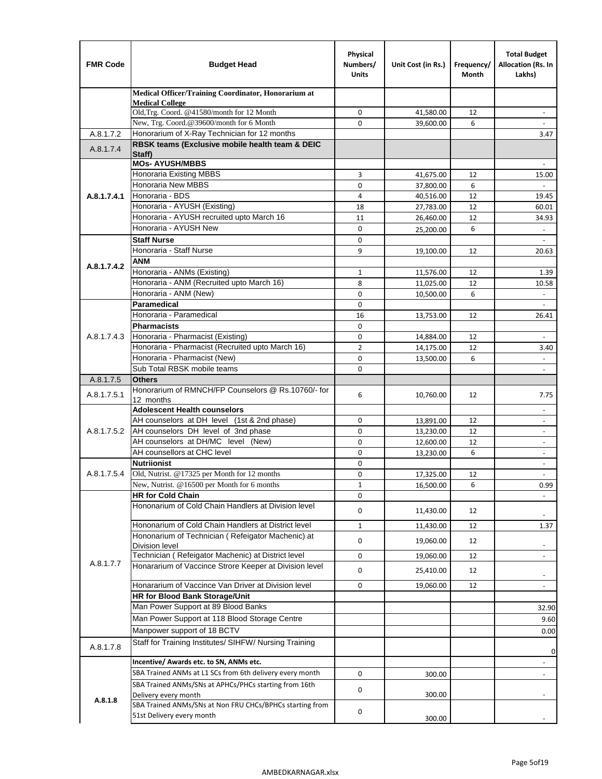| <b>FMR Code</b> | <b>Budget Head</b>                                                                           | Physical<br>Numbers/<br><b>Units</b> | Unit Cost (in Rs.) | Frequency/<br>Month | <b>Total Budget</b><br>Allocation (Rs. In<br>Lakhs) |
|-----------------|----------------------------------------------------------------------------------------------|--------------------------------------|--------------------|---------------------|-----------------------------------------------------|
|                 | Medical Officer/Training Coordinator, Honorarium at                                          |                                      |                    |                     |                                                     |
|                 | <b>Medical College</b><br>Old, Trg. Coord. @41580/month for 12 Month                         | $\mathbf 0$                          | 41,580.00          | 12                  | $\overline{\phantom{a}}$                            |
|                 | New, Trg. Coord.@39600/month for 6 Month                                                     | $\Omega$                             | 39,600.00          | 6                   |                                                     |
| A.8.1.7.2       | Honorarium of X-Ray Technician for 12 months                                                 |                                      |                    |                     | 3.47                                                |
| A.8.1.7.4       | RBSK teams (Exclusive mobile health team & DEIC<br>Staff)                                    |                                      |                    |                     |                                                     |
|                 | <b>MOs- AYUSH/MBBS</b>                                                                       |                                      |                    |                     |                                                     |
|                 | <b>Honoraria Existing MBBS</b>                                                               | 3                                    | 41,675.00          | 12                  | 15.00                                               |
|                 | Honoraria New MBBS                                                                           | 0                                    | 37,800.00          | 6                   | $\overline{\phantom{a}}$                            |
| A.8.1.7.4.1     | Honoraria - BDS<br>Honoraria - AYUSH (Existing)                                              | 4                                    | 40,516.00          | 12                  | 19.45                                               |
|                 | Honoraria - AYUSH recruited upto March 16                                                    | 18<br>11                             | 27,783.00          | 12<br>12            | 60.01<br>34.93                                      |
|                 | Honoraria - AYUSH New                                                                        | $\mathbf 0$                          | 26,460.00          | 6                   |                                                     |
|                 | <b>Staff Nurse</b>                                                                           | $\Omega$                             | 25,200.00          |                     | $\overline{\phantom{a}}$                            |
|                 | Honoraria - Staff Nurse                                                                      | 9                                    | 19,100.00          | 12                  | 20.63                                               |
|                 | <b>ANM</b>                                                                                   |                                      |                    |                     |                                                     |
| A.8.1.7.4.2     | Honoraria - ANMs (Existing)                                                                  | $\mathbf{1}$                         | 11,576.00          | 12                  | 1.39                                                |
|                 | Honoraria - ANM (Recruited upto March 16)                                                    | 8                                    | 11,025.00          | 12                  | 10.58                                               |
|                 | Honoraria - ANM (New)                                                                        | 0                                    | 10,500.00          | 6                   |                                                     |
|                 | Paramedical                                                                                  | $\mathbf 0$                          |                    |                     | $\overline{\phantom{a}}$                            |
|                 | Honoraria - Paramedical                                                                      | 16                                   | 13,753.00          | 12                  | 26.41                                               |
|                 | <b>Pharmacists</b>                                                                           | $\mathbf 0$                          |                    |                     |                                                     |
| A.8.1.7.4.3     | Honoraria - Pharmacist (Existing)                                                            | $\mathbf 0$                          | 14,884.00          | 12                  |                                                     |
|                 | Honoraria - Pharmacist (Recruited upto March 16)                                             | $\overline{2}$                       | 14,175.00          | 12                  | 3.40                                                |
|                 | Honoraria - Pharmacist (New)                                                                 | 0                                    | 13,500.00          | 6                   | $\overline{a}$                                      |
|                 | Sub Total RBSK mobile teams                                                                  | $\Omega$                             |                    |                     | $\overline{\phantom{a}}$                            |
| A.8.1.7.5       | <b>Others</b>                                                                                |                                      |                    |                     |                                                     |
| A.8.1.7.5.1     | Honorarium of RMNCH/FP Counselors @ Rs.10760/- for<br>12 months                              | 6                                    | 10,760.00          | 12                  | 7.75                                                |
|                 | <b>Adolescent Health counselors</b>                                                          |                                      |                    |                     | $\blacksquare$                                      |
|                 | AH counselors at DH level (1st & 2nd phase)                                                  | 0                                    | 13,891.00          | 12                  |                                                     |
| A.8.1.7.5.2     | AH counselors DH level of 3nd phase                                                          | $\mathbf 0$                          | 13,230.00          | 12                  | $\overline{\phantom{a}}$                            |
|                 | AH counselors at DH/MC level (New)                                                           | 0                                    | 12,600.00          | 12                  | $\blacksquare$                                      |
|                 | AH counsellors at CHC level                                                                  | $\mathbf 0$                          | 13,230.00          | 6                   | $\overline{\phantom{a}}$                            |
|                 | <b>Nutriionist</b>                                                                           | 0                                    |                    |                     | $\overline{\phantom{a}}$                            |
| A.8.1.7.5.4     | Old, Nutrist. @17325 per Month for 12 months                                                 | 0                                    | 17,325.00          | 12                  | $\overline{\phantom{a}}$                            |
|                 | New, Nutrist. $@16500$ per Month for 6 months                                                | 1                                    | 16,500.00          | 6                   | 0.99                                                |
|                 | <b>HR for Cold Chain</b>                                                                     | 0                                    |                    |                     |                                                     |
|                 | Hononarium of Cold Chain Handlers at Division level                                          | 0                                    | 11,430.00          | 12                  |                                                     |
|                 | Hononarium of Cold Chain Handlers at District level                                          | $\mathbf{1}$                         | 11,430.00          | 12                  | 1.37                                                |
|                 | Hononarium of Technician (Refeigator Machenic) at                                            | 0                                    | 19,060.00          | 12                  |                                                     |
|                 | <b>Division level</b><br>Technician (Refeigator Machenic) at District level                  |                                      |                    |                     | $\overline{\phantom{a}}$<br>$\blacksquare$          |
| A.8.1.7.7       | Honararium of Vaccince Strore Keeper at Division level                                       | 0                                    | 19,060.00          | 12                  |                                                     |
|                 |                                                                                              | 0                                    | 25,410.00          | 12                  | $\overline{\phantom{a}}$                            |
|                 | Honararium of Vaccince Van Driver at Division level<br><b>HR for Blood Bank Storage/Unit</b> | 0                                    | 19,060.00          | 12                  | $\overline{\phantom{a}}$                            |
|                 | Man Power Support at 89 Blood Banks                                                          |                                      |                    |                     |                                                     |
|                 | Man Power Support at 118 Blood Storage Centre                                                |                                      |                    |                     | 32.90                                               |
|                 |                                                                                              |                                      |                    |                     | 9.60                                                |
|                 | Manpower support of 18 BCTV<br>Staff for Training Institutes/ SIHFW/ Nursing Training        |                                      |                    |                     | 0.00                                                |
| A.8.1.7.8       |                                                                                              |                                      |                    |                     | 0                                                   |
|                 | Incentive/ Awards etc. to SN, ANMs etc.                                                      |                                      |                    |                     | $\overline{\phantom{a}}$                            |
|                 | SBA Trained ANMs at L1 SCs from 6th delivery every month                                     | 0                                    | 300.00             |                     | $\blacksquare$                                      |
| A.8.1.8         | SBA Trained ANMs/SNs at APHCs/PHCs starting from 16th<br>Delivery every month                | 0                                    | 300.00             |                     |                                                     |
|                 | SBA Trained ANMs/SNs at Non FRU CHCs/BPHCs starting from<br>51st Delivery every month        | 0                                    | 300.00             |                     |                                                     |
|                 |                                                                                              |                                      |                    |                     |                                                     |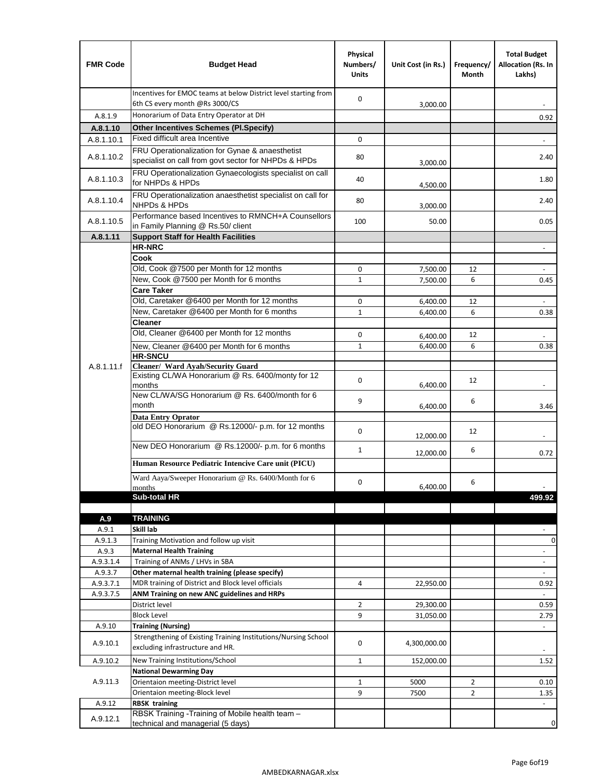| <b>FMR Code</b> | <b>Budget Head</b>                                                                                               | Physical<br>Numbers/<br><b>Units</b> | Unit Cost (in Rs.) | Frequency/<br>Month | <b>Total Budget</b><br>Allocation (Rs. In<br>Lakhs) |
|-----------------|------------------------------------------------------------------------------------------------------------------|--------------------------------------|--------------------|---------------------|-----------------------------------------------------|
|                 | Incentives for EMOC teams at below District level starting from<br>6th CS every month @Rs 3000/CS                | $\mathbf 0$                          | 3,000.00           |                     |                                                     |
| A.8.1.9         | Honorarium of Data Entry Operator at DH                                                                          |                                      |                    |                     | 0.92                                                |
| A.8.1.10        | <b>Other Incentives Schemes (PI.Specify)</b>                                                                     |                                      |                    |                     |                                                     |
| A.8.1.10.1      | Fixed difficult area Incentive                                                                                   | $\mathbf 0$                          |                    |                     |                                                     |
|                 | FRU Operationalization for Gynae & anaesthetist                                                                  |                                      |                    |                     |                                                     |
| A.8.1.10.2      | specialist on call from govt sector for NHPDs & HPDs<br>FRU Operationalization Gynaecologists specialist on call | 80                                   | 3,000.00           |                     | 2.40                                                |
| A.8.1.10.3      | for NHPDs & HPDs                                                                                                 | 40                                   | 4,500.00           |                     | 1.80                                                |
| A.8.1.10.4      | FRU Operationalization anaesthetist specialist on call for<br><b>NHPDs &amp; HPDs</b>                            | 80                                   | 3,000.00           |                     | 2.40                                                |
| A.8.1.10.5      | Performance based Incentives to RMNCH+A Counsellors<br>in Family Planning @ Rs.50/ client                        | 100                                  | 50.00              |                     | 0.05                                                |
| A.8.1.11        | <b>Support Staff for Health Facilities</b>                                                                       |                                      |                    |                     |                                                     |
|                 | <b>HR-NRC</b>                                                                                                    |                                      |                    |                     | $\overline{\phantom{m}}$                            |
|                 | Cook                                                                                                             |                                      |                    |                     |                                                     |
|                 | Old, Cook @7500 per Month for 12 months                                                                          | 0                                    | 7,500.00           | 12                  | $\Box$                                              |
|                 | New, Cook @7500 per Month for 6 months                                                                           | $\mathbf{1}$                         | 7,500.00           | 6                   | 0.45                                                |
|                 | <b>Care Taker</b>                                                                                                |                                      |                    |                     |                                                     |
|                 | Old, Caretaker @6400 per Month for 12 months                                                                     | $\mathbf 0$                          | 6,400.00           | 12                  | ä,                                                  |
|                 | New, Caretaker @6400 per Month for 6 months<br><b>Cleaner</b>                                                    | $\mathbf{1}$                         | 6,400.00           | 6                   | 0.38                                                |
|                 | Old, Cleaner @6400 per Month for 12 months                                                                       |                                      |                    |                     |                                                     |
|                 |                                                                                                                  | 0                                    | 6,400.00           | 12                  |                                                     |
|                 | New, Cleaner @6400 per Month for 6 months<br><b>HR-SNCU</b>                                                      | $\mathbf{1}$                         | 6,400.00           | 6                   | 0.38                                                |
| A.8.1.11.f      | Cleaner/ Ward Ayah/Security Guard                                                                                |                                      |                    |                     |                                                     |
|                 | Existing CL/WA Honorarium @ Rs. 6400/monty for 12<br>months                                                      | $\mathbf 0$                          | 6,400.00           | 12                  |                                                     |
|                 | New CL/WA/SG Honorarium @ Rs. 6400/month for 6<br>month                                                          | 9                                    | 6,400.00           | 6                   | 3.46                                                |
|                 | <b>Data Entry Oprator</b>                                                                                        |                                      |                    |                     |                                                     |
|                 | old DEO Honorarium @ Rs.12000/- p.m. for 12 months                                                               | $\mathbf 0$                          | 12,000.00          | 12                  |                                                     |
|                 | New DEO Honorarium @ Rs.12000/- p.m. for 6 months                                                                | $\mathbf{1}$                         |                    | 6                   |                                                     |
|                 | Human Resource Pediatric Intencive Care unit (PICU)                                                              |                                      | 12,000.00          |                     | 0.72                                                |
|                 | Ward Aaya/Sweeper Honorarium @ Rs. 6400/Month for 6                                                              | $\mathbf 0$                          |                    | 6                   |                                                     |
|                 | months                                                                                                           |                                      | 6,400.00           |                     |                                                     |
|                 | Sub-total HR                                                                                                     |                                      |                    |                     | 499.92                                              |
|                 |                                                                                                                  |                                      |                    |                     |                                                     |
| A.9<br>A.9.1    | <b>TRAINING</b><br>Skill lab                                                                                     |                                      |                    |                     |                                                     |
| A.9.1.3         | Training Motivation and follow up visit                                                                          |                                      |                    |                     | 0                                                   |
| A.9.3           | <b>Maternal Health Training</b>                                                                                  |                                      |                    |                     | $\blacksquare$                                      |
| A.9.3.1.4       | Training of ANMs / LHVs in SBA                                                                                   |                                      |                    |                     | $\overline{\phantom{a}}$                            |
| A.9.3.7         | Other maternal health training (please specify)                                                                  |                                      |                    |                     |                                                     |
| A.9.3.7.1       | MDR training of District and Block level officials                                                               | 4                                    | 22,950.00          |                     | 0.92                                                |
| A.9.3.7.5       | ANM Training on new ANC guidelines and HRPs                                                                      |                                      |                    |                     |                                                     |
|                 | District level                                                                                                   | $\overline{2}$                       | 29,300.00          |                     | 0.59                                                |
|                 | <b>Block Level</b>                                                                                               | 9                                    | 31,050.00          |                     | 2.79                                                |
| A.9.10          | <b>Training (Nursing)</b>                                                                                        |                                      |                    |                     | $\blacksquare$                                      |
| A.9.10.1        | Strengthening of Existing Training Institutions/Nursing School<br>excluding infrastructure and HR.               | 0                                    | 4,300,000.00       |                     |                                                     |
| A.9.10.2        | New Training Institutions/School                                                                                 | $\mathbf{1}$                         | 152,000.00         |                     | 1.52                                                |
|                 | <b>National Dewarming Day</b>                                                                                    |                                      |                    |                     |                                                     |
| A.9.11.3        | Orientaion meeting-District level                                                                                | $\mathbf 1$                          | 5000               | $\overline{2}$      | 0.10                                                |
|                 | Orientaion meeting-Block level                                                                                   | 9                                    | 7500               | $\overline{2}$      | 1.35                                                |
| A.9.12          | <b>RBSK training</b>                                                                                             |                                      |                    |                     |                                                     |
| A.9.12.1        | RBSK Training -Training of Mobile health team -<br>technical and managerial (5 days)                             |                                      |                    |                     | 0                                                   |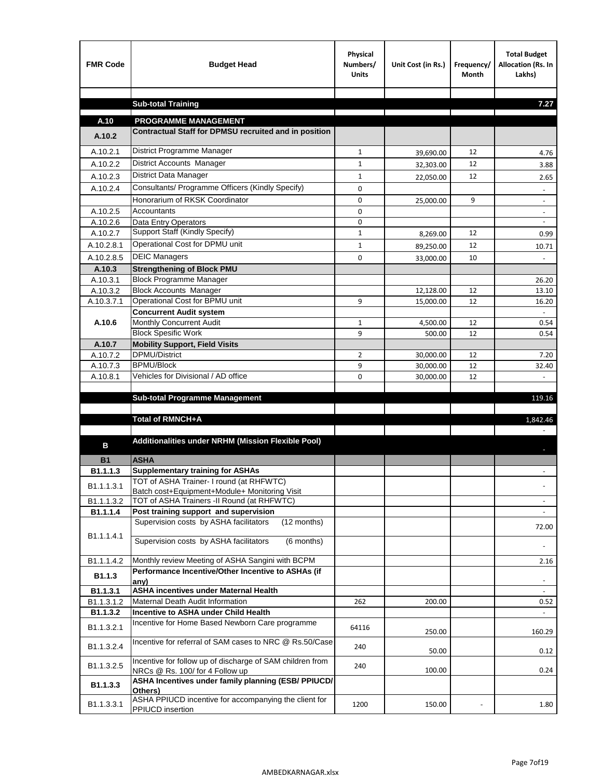| <b>FMR Code</b>        | <b>Budget Head</b>                                                                  | Physical<br>Numbers/<br><b>Units</b> | Unit Cost (in Rs.) | Frequency/<br><b>Month</b> | <b>Total Budget</b><br>Allocation (Rs. In<br>Lakhs) |
|------------------------|-------------------------------------------------------------------------------------|--------------------------------------|--------------------|----------------------------|-----------------------------------------------------|
|                        |                                                                                     |                                      |                    |                            |                                                     |
|                        | <b>Sub-total Training</b>                                                           |                                      |                    |                            | 7.27                                                |
| A.10                   | <b>PROGRAMME MANAGEMENT</b>                                                         |                                      |                    |                            |                                                     |
| A.10.2                 | Contractual Staff for DPMSU recruited and in position                               |                                      |                    |                            |                                                     |
| A.10.2.1               | District Programme Manager                                                          | $\mathbf{1}$                         | 39,690.00          | 12                         | 4.76                                                |
| A.10.2.2               | District Accounts Manager                                                           | 1                                    | 32,303.00          | 12                         | 3.88                                                |
| A.10.2.3               | District Data Manager                                                               | $\mathbf{1}$                         |                    | 12                         |                                                     |
| A.10.2.4               | Consultants/ Programme Officers (Kindly Specify)                                    | $\mathbf 0$                          | 22,050.00          |                            | 2.65                                                |
|                        | Honorarium of RKSK Coordinator                                                      | 0                                    | 25,000.00          | 9                          | $\overline{\phantom{a}}$                            |
| A.10.2.5               | Accountants                                                                         | 0                                    |                    |                            |                                                     |
| A.10.2.6               | Data Entry Operators                                                                | 0                                    |                    |                            | $\overline{\phantom{a}}$                            |
| A.10.2.7               | Support Staff (Kindly Specify)                                                      | $\mathbf{1}$                         | 8,269.00           | 12                         | 0.99                                                |
| A.10.2.8.1             | Operational Cost for DPMU unit                                                      | $\mathbf{1}$                         | 89,250.00          | 12                         | 10.71                                               |
| A.10.2.8.5             | <b>DEIC Managers</b>                                                                | $\mathbf 0$                          | 33,000.00          | 10                         |                                                     |
| A.10.3                 | <b>Strengthening of Block PMU</b>                                                   |                                      |                    |                            |                                                     |
| A.10.3.1               | <b>Block Programme Manager</b>                                                      |                                      |                    |                            | 26.20                                               |
| A.10.3.2               | <b>Block Accounts Manager</b>                                                       |                                      | 12,128.00          | 12                         | 13.10                                               |
| A.10.3.7.1             | Operational Cost for BPMU unit                                                      | 9                                    | 15,000.00          | 12                         | 16.20                                               |
| A.10.6                 | <b>Concurrent Audit system</b>                                                      |                                      |                    |                            |                                                     |
|                        | Monthly Concurrent Audit<br><b>Block Spesific Work</b>                              | $\mathbf{1}$<br>9                    | 4,500.00<br>500.00 | 12<br>12                   | 0.54<br>0.54                                        |
| A.10.7                 | <b>Mobility Support, Field Visits</b>                                               |                                      |                    |                            |                                                     |
| A.10.7.2               | DPMU/District                                                                       | 2                                    | 30,000.00          | 12                         | 7.20                                                |
| A.10.7.3               | <b>BPMU/Block</b>                                                                   | 9                                    | 30,000.00          | 12                         | 32.40                                               |
| A.10.8.1               | Vehicles for Divisional / AD office                                                 | 0                                    | 30,000.00          | 12                         |                                                     |
|                        |                                                                                     |                                      |                    |                            |                                                     |
|                        | <b>Sub-total Programme Management</b>                                               |                                      |                    |                            | 119.16                                              |
|                        | Total of RMNCH+A                                                                    |                                      |                    |                            | 1,842.46                                            |
|                        |                                                                                     |                                      |                    |                            |                                                     |
|                        | Additionalities under NRHM (Mission Flexible Pool)                                  |                                      |                    |                            |                                                     |
| в                      |                                                                                     |                                      |                    |                            |                                                     |
| <b>B1</b>              | <b>ASHA</b>                                                                         |                                      |                    |                            |                                                     |
| B1.1.1.3               | <b>Supplementary training for ASHAs</b><br>TOT of ASHA Trainer- I round (at RHFWTC) |                                      |                    |                            |                                                     |
| B1.1.1.3.1             | Batch cost+Equipment+Module+ Monitoring Visit                                       |                                      |                    |                            |                                                     |
| B1.1.1.3.2             | TOT of ASHA Trainers -II Round (at RHFWTC)                                          |                                      |                    |                            |                                                     |
| B1.1.1.4               | Post training support and supervision                                               |                                      |                    |                            | $\sim$                                              |
|                        | Supervision costs by ASHA facilitators<br>(12 months)                               |                                      |                    |                            | 72.00                                               |
| B1.1.1.4.1             | Supervision costs by ASHA facilitators<br>(6 months)                                |                                      |                    |                            |                                                     |
|                        |                                                                                     |                                      |                    |                            |                                                     |
| B1.1.1.4.2             | Monthly review Meeting of ASHA Sangini with BCPM                                    |                                      |                    |                            | 2.16                                                |
| B <sub>1.1.3</sub>     | Performance Incentive/Other Incentive to ASHAs (if                                  |                                      |                    |                            |                                                     |
|                        | any)                                                                                |                                      |                    |                            |                                                     |
| B1.1.3.1<br>B1.1.3.1.2 | <b>ASHA incentives under Maternal Health</b><br>Maternal Death Audit Information    | 262                                  |                    |                            |                                                     |
| B1.1.3.2               | Incentive to ASHA under Child Health                                                |                                      | 200.00             |                            | 0.52<br>÷.                                          |
|                        | Incentive for Home Based Newborn Care programme                                     |                                      |                    |                            |                                                     |
| B1.1.3.2.1             |                                                                                     | 64116                                | 250.00             |                            | 160.29                                              |
| B1.1.3.2.4             | Incentive for referral of SAM cases to NRC @ Rs.50/Case                             | 240                                  |                    |                            |                                                     |
|                        | Incentive for follow up of discharge of SAM children from                           |                                      | 50.00              |                            | 0.12                                                |
| B1.1.3.2.5             | NRCs @ Rs. 100/ for 4 Follow up                                                     | 240                                  | 100.00             |                            | 0.24                                                |
| B1.1.3.3               | ASHA Incentives under family planning (ESB/ PPIUCD/                                 |                                      |                    |                            |                                                     |
|                        | Others)<br>ASHA PPIUCD incentive for accompanying the client for                    |                                      |                    |                            |                                                     |
| B1.1.3.3.1             | PPIUCD insertion                                                                    | 1200                                 | 150.00             |                            | 1.80                                                |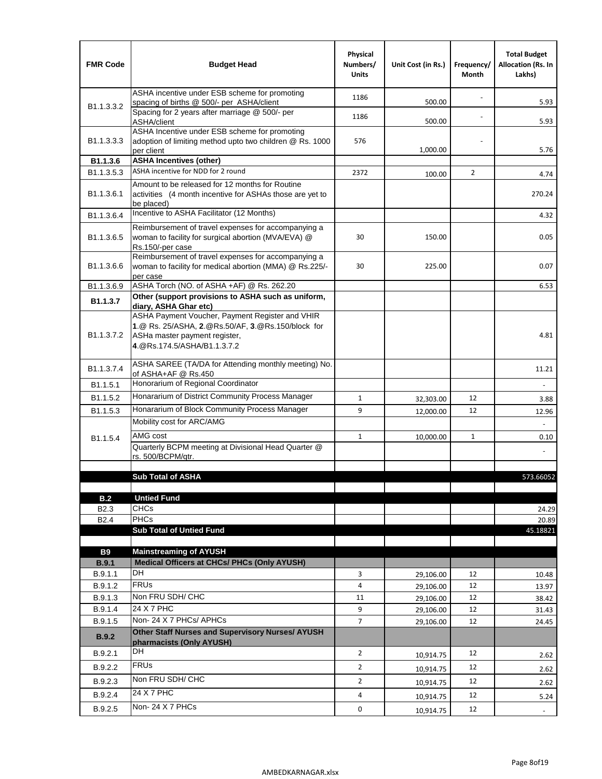| <b>FMR Code</b>            | <b>Budget Head</b>                                                                                                                                                    | Physical<br>Numbers/<br><b>Units</b> | Unit Cost (in Rs.) | Frequency/<br>Month | <b>Total Budget</b><br><b>Allocation (Rs. In</b><br>Lakhs) |
|----------------------------|-----------------------------------------------------------------------------------------------------------------------------------------------------------------------|--------------------------------------|--------------------|---------------------|------------------------------------------------------------|
|                            | ASHA incentive under ESB scheme for promoting<br>spacing of births @ 500/- per ASHA/client                                                                            | 1186                                 | 500.00             |                     | 5.93                                                       |
| B <sub>1.1</sub> , 3, 3, 2 | Spacing for 2 years after marriage @ 500/- per<br>ASHA/client                                                                                                         | 1186                                 | 500.00             |                     | 5.93                                                       |
| B1.1.3.3.3                 | ASHA Incentive under ESB scheme for promoting<br>adoption of limiting method upto two children @ Rs. 1000<br>per client                                               | 576                                  | 1,000.00           |                     | 5.76                                                       |
| B1.1.3.6                   | <b>ASHA Incentives (other)</b>                                                                                                                                        |                                      |                    |                     |                                                            |
| B <sub>1.1</sub> , 3, 5, 3 | ASHA incentive for NDD for 2 round                                                                                                                                    | 2372                                 | 100.00             | $\overline{2}$      | 4.74                                                       |
| B <sub>1.1</sub> .3.6.1    | Amount to be released for 12 months for Routine<br>activities (4 month incentive for ASHAs those are yet to<br>be placed)                                             |                                      |                    |                     | 270.24                                                     |
| B1.1.3.6.4                 | Incentive to ASHA Facilitator (12 Months)                                                                                                                             |                                      |                    |                     | 4.32                                                       |
| B <sub>1.1</sub> .3.6.5    | Reimbursement of travel expenses for accompanying a<br>woman to facility for surgical abortion (MVA/EVA) @<br>Rs.150/-per case                                        | 30                                   | 150.00             |                     | 0.05                                                       |
| B <sub>1.1</sub> .3.6.6    | Reimbursement of travel expenses for accompanying a<br>woman to facility for medical abortion (MMA) @ Rs.225/-<br>per case                                            | 30                                   | 225.00             |                     | 0.07                                                       |
| B1.1.3.6.9                 | ASHA Torch (NO. of ASHA +AF) @ Rs. 262.20                                                                                                                             |                                      |                    |                     | 6.53                                                       |
| B1.1.3.7                   | Other (support provisions to ASHA such as uniform,<br>diary, ASHA Ghar etc)                                                                                           |                                      |                    |                     |                                                            |
| B <sub>1.1</sub> .3.7.2    | ASHA Payment Voucher, Payment Register and VHIR<br>1.@ Rs. 25/ASHA, 2.@Rs.50/AF, 3.@Rs.150/block for<br>ASHa master payment register,<br>4. @Rs.174.5/ASHA/B1.1.3.7.2 |                                      |                    |                     | 4.81                                                       |
| B <sub>1.1</sub> , 3.7.4   | ASHA SAREE (TA/DA for Attending monthly meeting) No.<br>of ASHA+AF @ Rs.450                                                                                           |                                      |                    |                     | 11.21                                                      |
| B <sub>1.1</sub> .5.1      | Honorarium of Regional Coordinator                                                                                                                                    |                                      |                    |                     |                                                            |
| B1.1.5.2                   | Honararium of District Community Process Manager                                                                                                                      | $\mathbf{1}$                         | 32,303.00          | 12                  | 3.88                                                       |
| B1.1.5.3                   | Honararium of Block Community Process Manager                                                                                                                         | 9                                    | 12,000.00          | 12                  | 12.96                                                      |
|                            | Mobility cost for ARC/AMG                                                                                                                                             |                                      |                    |                     |                                                            |
| B <sub>1.1.5.4</sub>       | AMG cost                                                                                                                                                              | $\mathbf{1}$                         | 10,000.00          | $\mathbf{1}$        | 0.10                                                       |
|                            | Quarterly BCPM meeting at Divisional Head Quarter @<br>rs. 500/BCPM/qtr.                                                                                              |                                      |                    |                     |                                                            |
|                            |                                                                                                                                                                       |                                      |                    |                     |                                                            |
|                            | <b>Sub Total of ASHA</b>                                                                                                                                              |                                      |                    |                     | 573.66052                                                  |
| B.2                        | <b>Untied Fund</b>                                                                                                                                                    |                                      |                    |                     |                                                            |
| B <sub>2.3</sub>           | <b>CHCs</b>                                                                                                                                                           |                                      |                    |                     | 24.29                                                      |
| B <sub>2.4</sub>           | PHCs                                                                                                                                                                  |                                      |                    |                     | 20.89                                                      |
|                            | <b>Sub Total of Untied Fund</b>                                                                                                                                       |                                      |                    |                     | 45.18821                                                   |
| <b>B9</b>                  | <b>Mainstreaming of AYUSH</b>                                                                                                                                         |                                      |                    |                     |                                                            |
| B.9.1                      | Medical Officers at CHCs/ PHCs (Only AYUSH)                                                                                                                           |                                      |                    |                     |                                                            |
| B.9.1.1                    | <b>DH</b>                                                                                                                                                             | 3                                    | 29,106.00          | 12                  | 10.48                                                      |
| B.9.1.2                    | <b>FRUs</b>                                                                                                                                                           | 4                                    | 29,106.00          | 12                  | 13.97                                                      |
| B.9.1.3                    | Non FRU SDH/ CHC                                                                                                                                                      | 11                                   | 29,106.00          | 12                  | 38.42                                                      |
| B.9.1.4                    | 24 X 7 PHC                                                                                                                                                            | 9                                    | 29,106.00          | 12                  | 31.43                                                      |
| B.9.1.5                    | Non-24 X 7 PHCs/ APHCs                                                                                                                                                | 7                                    | 29,106.00          | 12                  | 24.45                                                      |
| <b>B.9.2</b>               | Other Staff Nurses and Supervisory Nurses/ AYUSH<br>pharmacists (Only AYUSH)                                                                                          |                                      |                    |                     |                                                            |
| B.9.2.1                    | DH                                                                                                                                                                    | $\overline{2}$                       | 10,914.75          | 12                  | 2.62                                                       |
| B.9.2.2                    | <b>FRUs</b>                                                                                                                                                           | $\overline{2}$                       | 10,914.75          | 12                  | 2.62                                                       |
| B.9.2.3                    | Non FRU SDH/ CHC                                                                                                                                                      | $\overline{2}$                       | 10,914.75          | 12                  | 2.62                                                       |
| B.9.2.4                    | 24 X 7 PHC                                                                                                                                                            | 4                                    | 10,914.75          | 12                  | 5.24                                                       |
| B.9.2.5                    | Non-24 X 7 PHCs                                                                                                                                                       | 0                                    | 10,914.75          | 12                  | $\blacksquare$                                             |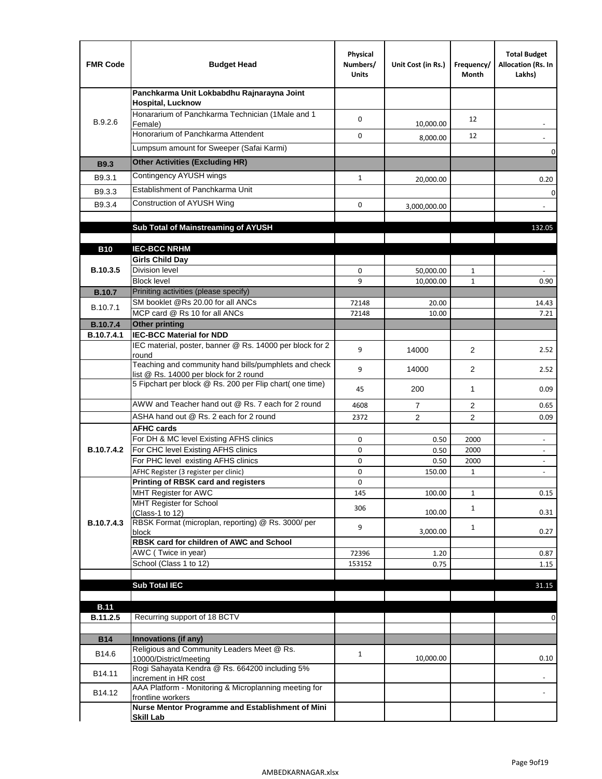| <b>FMR Code</b> | <b>Budget Head</b>                                                                              | Physical<br>Numbers/<br><b>Units</b> | Unit Cost (in Rs.) | Frequency/<br>Month | <b>Total Budget</b><br>Allocation (Rs. In<br>Lakhs) |
|-----------------|-------------------------------------------------------------------------------------------------|--------------------------------------|--------------------|---------------------|-----------------------------------------------------|
|                 | Panchkarma Unit Lokbabdhu Rajnarayna Joint<br><b>Hospital, Lucknow</b>                          |                                      |                    |                     |                                                     |
| B.9.2.6         | Honararium of Panchkarma Technician (1Male and 1<br>Female)                                     | 0                                    | 10,000.00          | 12                  |                                                     |
|                 | Honorarium of Panchkarma Attendent                                                              | $\mathbf 0$                          | 8,000.00           | 12                  |                                                     |
|                 | Lumpsum amount for Sweeper (Safai Karmi)                                                        |                                      |                    |                     | 0                                                   |
| <b>B9.3</b>     | <b>Other Activities (Excluding HR)</b>                                                          |                                      |                    |                     |                                                     |
| B9.3.1          | Contingency AYUSH wings                                                                         | $\mathbf{1}$                         | 20,000.00          |                     | 0.20                                                |
| B9.3.3          | Establishment of Panchkarma Unit                                                                |                                      |                    |                     | $\mathbf 0$                                         |
| B9.3.4          | Construction of AYUSH Wing                                                                      | 0                                    |                    |                     |                                                     |
|                 |                                                                                                 |                                      | 3,000,000.00       |                     |                                                     |
|                 | Sub Total of Mainstreaming of AYUSH                                                             |                                      |                    |                     | 132.05                                              |
|                 |                                                                                                 |                                      |                    |                     |                                                     |
| <b>B10</b>      | <b>IEC-BCC NRHM</b>                                                                             |                                      |                    |                     |                                                     |
|                 | <b>Girls Child Day</b>                                                                          |                                      |                    |                     |                                                     |
| B.10.3.5        | <b>Division level</b><br><b>Block level</b>                                                     | 0                                    | 50,000.00          | 1                   |                                                     |
| <b>B.10.7</b>   | Priniting activities (please specify)                                                           | 9                                    | 10,000.00          | $\mathbf{1}$        | 0.90                                                |
|                 | SM booklet @Rs 20.00 for all ANCs                                                               | 72148                                | 20.00              |                     | 14.43                                               |
| B.10.7.1        | MCP card @ Rs 10 for all ANCs                                                                   | 72148                                | 10.00              |                     | 7.21                                                |
| <b>B.10.7.4</b> | <b>Other printing</b>                                                                           |                                      |                    |                     |                                                     |
| B.10.7.4.1      | <b>IEC-BCC Material for NDD</b>                                                                 |                                      |                    |                     |                                                     |
|                 | IEC material, poster, banner @ Rs. 14000 per block for 2<br>round                               | 9                                    | 14000              | $\overline{2}$      | 2.52                                                |
|                 | Teaching and community hand bills/pumphlets and check<br>list @ Rs. 14000 per block for 2 round | 9                                    | 14000              | $\overline{2}$      | 2.52                                                |
|                 | 5 Fipchart per block @ Rs. 200 per Flip chart( one time)                                        | 45                                   | 200                | 1                   | 0.09                                                |
|                 | AWW and Teacher hand out @ Rs. 7 each for 2 round                                               | 4608                                 | $\overline{7}$     | 2                   | 0.65                                                |
|                 | ASHA hand out @ Rs. 2 each for 2 round                                                          | 2372                                 | $\overline{2}$     | $\overline{2}$      | 0.09                                                |
|                 | <b>AFHC cards</b>                                                                               |                                      |                    |                     |                                                     |
|                 | For DH & MC level Existing AFHS clinics<br>For CHC level Existing AFHS clinics                  | 0                                    | 0.50               | 2000                | $\overline{\phantom{a}}$                            |
| B.10.7.4.2      | For PHC level existing AFHS clinics                                                             | 0<br>0                               | 0.50<br>0.50       | 2000<br>2000        | $\overline{\phantom{a}}$<br>$\bar{\phantom{a}}$     |
|                 | AFHC Register (3 register per clinic)                                                           | 0                                    | 150.00             | $\mathbf{1}$        | $\blacksquare$                                      |
|                 | Printing of RBSK card and registers                                                             | 0                                    |                    |                     |                                                     |
|                 | MHT Register for AWC                                                                            | 145                                  | 100.00             | $\mathbf{1}$        | 0.15                                                |
|                 | MHT Register for School                                                                         | 306                                  |                    | $\mathbf{1}$        |                                                     |
| B.10.7.4.3      | (Class-1 to 12)<br>RBSK Format (microplan, reporting) @ Rs. 3000/ per                           |                                      | 100.00             |                     | 0.31                                                |
|                 | block                                                                                           | 9                                    | 3,000.00           | $\mathbf{1}$        | 0.27                                                |
|                 | RBSK card for children of AWC and School                                                        |                                      |                    |                     |                                                     |
|                 | AWC (Twice in year)                                                                             | 72396                                | 1.20               |                     | 0.87                                                |
|                 | School (Class 1 to 12)                                                                          | 153152                               | 0.75               |                     | 1.15                                                |
|                 | <b>Sub Total IEC</b>                                                                            |                                      |                    |                     | 31.15                                               |
|                 |                                                                                                 |                                      |                    |                     |                                                     |
| <b>B.11</b>     |                                                                                                 |                                      |                    |                     |                                                     |
| B.11.2.5        | Recurring support of 18 BCTV                                                                    |                                      |                    |                     | 0                                                   |
|                 |                                                                                                 |                                      |                    |                     |                                                     |
| <b>B14</b>      | Innovations (if any)                                                                            |                                      |                    |                     |                                                     |
| B14.6           | Religious and Community Leaders Meet @ Rs.<br>10000/District/meeting                            | $\mathbf{1}$                         | 10,000.00          |                     | 0.10                                                |
| B14.11          | Rogi Sahayata Kendra @ Rs. 664200 including 5%<br>increment in HR cost                          |                                      |                    |                     |                                                     |
| B14.12          | AAA Platform - Monitoring & Microplanning meeting for<br>frontline workers                      |                                      |                    |                     |                                                     |
|                 | Nurse Mentor Programme and Establishment of Mini<br><b>Skill Lab</b>                            |                                      |                    |                     |                                                     |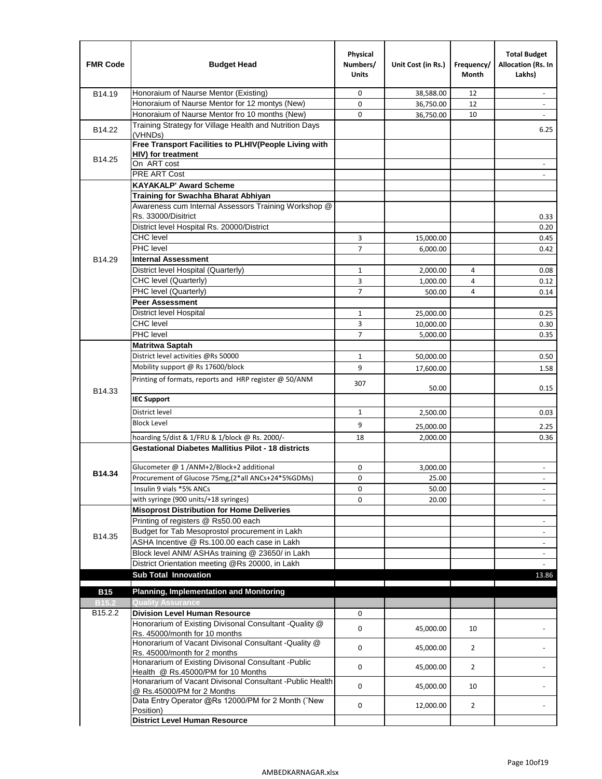| <b>FMR Code</b>   | <b>Budget Head</b>                                                                             | Physical<br>Numbers/<br><b>Units</b> | Unit Cost (in Rs.) | Frequency/<br><b>Month</b> | <b>Total Budget</b><br>Allocation (Rs. In<br>Lakhs) |
|-------------------|------------------------------------------------------------------------------------------------|--------------------------------------|--------------------|----------------------------|-----------------------------------------------------|
| B14.19            | Honoraium of Naurse Mentor (Existing)                                                          | 0                                    | 38,588.00          | 12                         | $\sim$                                              |
|                   | Honoraium of Naurse Mentor for 12 montys (New)                                                 | 0                                    | 36,750.00          | 12                         |                                                     |
|                   | Honoraium of Naurse Mentor fro 10 months (New)                                                 | 0                                    | 36,750.00          | 10                         | $\sim$                                              |
| B14.22            | Training Strategy for Village Health and Nutrition Days<br>(VHNDs)                             |                                      |                    |                            | 6.25                                                |
|                   | Free Transport Facilities to PLHIV(People Living with                                          |                                      |                    |                            |                                                     |
| B14.25            | <b>HIV)</b> for treatment                                                                      |                                      |                    |                            |                                                     |
|                   | On ART cost                                                                                    |                                      |                    |                            |                                                     |
|                   | PRE ART Cost                                                                                   |                                      |                    |                            |                                                     |
|                   | <b>KAYAKALP' Award Scheme</b>                                                                  |                                      |                    |                            |                                                     |
|                   | Training for Swachha Bharat Abhiyan                                                            |                                      |                    |                            |                                                     |
|                   | Awareness cum Internal Assessors Training Workshop @<br>Rs. 33000/Disitrict                    |                                      |                    |                            | 0.33                                                |
|                   | District level Hospital Rs. 20000/District                                                     |                                      |                    |                            | 0.20                                                |
|                   | <b>CHC</b> level                                                                               | 3                                    | 15,000.00          |                            | 0.45                                                |
|                   | <b>PHC</b> level                                                                               | 7                                    | 6,000.00           |                            | 0.42                                                |
| B14.29            | <b>Internal Assessment</b>                                                                     |                                      |                    |                            |                                                     |
|                   | District level Hospital (Quarterly)                                                            | 1                                    | 2,000.00           | 4                          | 0.08                                                |
|                   | CHC level (Quarterly)                                                                          | 3                                    | 1,000.00           | 4                          | 0.12                                                |
|                   | PHC level (Quarterly)                                                                          | $\overline{7}$                       | 500.00             | 4                          | 0.14                                                |
|                   | <b>Peer Assessment</b>                                                                         |                                      |                    |                            |                                                     |
|                   | <b>District level Hospital</b>                                                                 | 1                                    | 25.000.00          |                            | 0.25                                                |
|                   | <b>CHC</b> level                                                                               | 3                                    | 10,000.00          |                            | 0.30                                                |
|                   | PHC level                                                                                      | $\overline{7}$                       | 5,000.00           |                            | 0.35                                                |
|                   | Matritwa Saptah                                                                                |                                      |                    |                            |                                                     |
|                   | District level activities @Rs 50000                                                            | $\mathbf{1}$                         | 50,000.00          |                            | 0.50                                                |
|                   | Mobility support @ Rs 17600/block                                                              | 9                                    | 17,600.00          |                            | 1.58                                                |
|                   | Printing of formats, reports and HRP register @ 50/ANM                                         |                                      |                    |                            |                                                     |
| B14.33            |                                                                                                | 307                                  | 50.00              |                            | 0.15                                                |
|                   | <b>IEC Support</b>                                                                             |                                      |                    |                            |                                                     |
|                   | District level                                                                                 | $\mathbf{1}$                         | 2,500.00           |                            | 0.03                                                |
|                   | <b>Block Level</b>                                                                             | 9                                    |                    |                            |                                                     |
|                   |                                                                                                |                                      | 25,000.00          |                            | 2.25                                                |
|                   | hoarding 5/dist & 1/FRU & 1/block @ Rs. 2000/-                                                 | 18                                   | 2,000.00           |                            | 0.36                                                |
|                   | <b>Gestational Diabetes Mallitius Pilot - 18 districts</b>                                     |                                      |                    |                            |                                                     |
| B14.34            | Glucometer @ 1 /ANM+2/Block+2 additional                                                       | 0                                    | 3,000.00           |                            | $\overline{\phantom{a}}$                            |
|                   | Procurement of Glucose 75mg, (2*all ANCs+24*5%GDMs)                                            | 0                                    | 25.00              |                            |                                                     |
|                   | Insulin 9 vials *5% ANCs                                                                       | 0                                    | 50.00              |                            | $\blacksquare$                                      |
|                   | with syringe (900 units/+18 syringes)                                                          | 0                                    | 20.00              |                            |                                                     |
|                   | <b>Misoprost Distribution for Home Deliveries</b>                                              |                                      |                    |                            |                                                     |
|                   | Printing of registers @ Rs50.00 each                                                           |                                      |                    |                            | $\overline{\phantom{a}}$                            |
| B14.35            | Budget for Tab Mesoprostol procurement in Lakh<br>ASHA Incentive @ Rs.100.00 each case in Lakh |                                      |                    |                            |                                                     |
|                   | Block level ANM/ ASHAs training @ 23650/ in Lakh                                               |                                      |                    |                            | $\overline{\phantom{a}}$                            |
|                   | District Orientation meeting @Rs 20000, in Lakh                                                |                                      |                    |                            | $\overline{\phantom{a}}$                            |
|                   | <b>Sub Total Innovation</b>                                                                    |                                      |                    |                            | 13.86                                               |
| <b>B15</b>        | <b>Planning, Implementation and Monitoring</b>                                                 |                                      |                    |                            |                                                     |
| B <sub>15.2</sub> | <b>Quality Assurance</b>                                                                       |                                      |                    |                            |                                                     |
| B15.2.2           | <b>Division Level Human Resource</b>                                                           | 0                                    |                    |                            |                                                     |
|                   | Honorarium of Existing Divisonal Consultant -Quality @                                         |                                      |                    |                            |                                                     |
|                   | Rs. 45000/month for 10 months                                                                  | 0                                    | 45,000.00          | 10                         |                                                     |
|                   | Honorarium of Vacant Divisonal Consultant -Quality @                                           | 0                                    | 45,000.00          | $\overline{2}$             |                                                     |
|                   | Rs. 45000/month for 2 months<br>Honararium of Existing Divisonal Consultant - Public           |                                      |                    |                            |                                                     |
|                   | Health @ Rs.45000/PM for 10 Months                                                             | 0                                    | 45,000.00          | $\overline{2}$             |                                                     |
|                   | Honararium of Vacant Divisonal Consultant - Public Health                                      |                                      |                    |                            |                                                     |
|                   | @ Rs.45000/PM for 2 Months                                                                     | 0                                    | 45,000.00          | 10                         |                                                     |
|                   | Data Entry Operator @Rs 12000/PM for 2 Month ("New                                             | 0                                    | 12,000.00          | $\overline{2}$             |                                                     |
|                   | Position)<br><b>District Level Human Resource</b>                                              |                                      |                    |                            |                                                     |
|                   |                                                                                                |                                      |                    |                            |                                                     |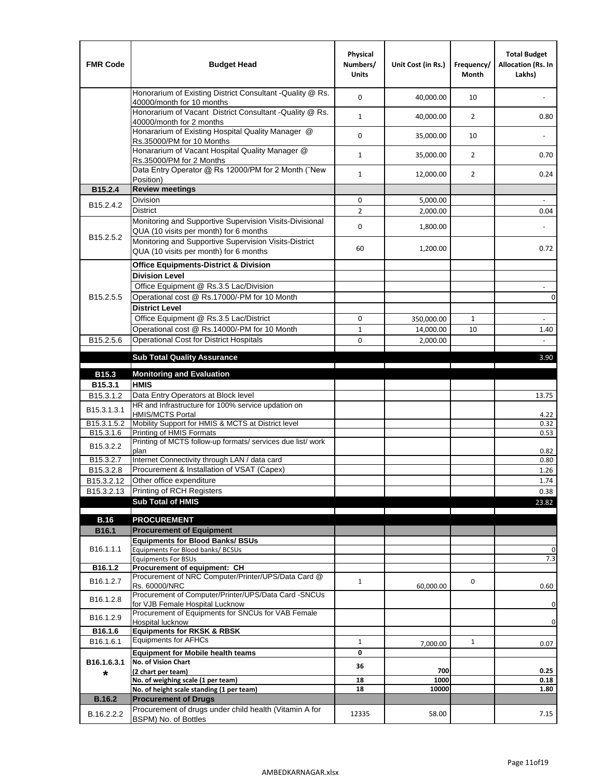| <b>FMR Code</b>         | <b>Budget Head</b>                                                                                | Physical<br>Numbers/<br><b>Units</b> | Unit Cost (in Rs.) | Frequency/<br><b>Month</b> | <b>Total Budget</b><br>Allocation (Rs. In<br>Lakhs) |
|-------------------------|---------------------------------------------------------------------------------------------------|--------------------------------------|--------------------|----------------------------|-----------------------------------------------------|
|                         | Honorarium of Existing District Consultant -Quality @ Rs.<br>40000/month for 10 months            | $\mathbf 0$                          | 40,000.00          | 10                         |                                                     |
|                         | Honorarium of Vacant District Consultant -Quality @ Rs.<br>40000/month for 2 months               | $\mathbf{1}$                         | 40,000.00          | $\overline{2}$             | 0.80                                                |
|                         | Honararium of Existing Hospital Quality Manager @<br>Rs.35000/PM for 10 Months                    | 0                                    | 35,000.00          | 10                         |                                                     |
|                         | Honararium of Vacant Hospital Quality Manager @<br>Rs.35000/PM for 2 Months                       | $\mathbf{1}$                         | 35,000.00          | $\overline{2}$             | 0.70                                                |
|                         | Data Entry Operator @ Rs 12000/PM for 2 Month ("New<br>Position)                                  | $\mathbf{1}$                         | 12,000.00          | $\overline{2}$             | 0.24                                                |
| B15.2.4                 | <b>Review meetings</b>                                                                            |                                      |                    |                            |                                                     |
| B <sub>15.2</sub> .4.2  | Division                                                                                          | 0                                    | 5,000.00           |                            |                                                     |
|                         | <b>District</b>                                                                                   | $\overline{2}$                       | 2,000.00           |                            | 0.04                                                |
| B15.2.5.2               | Monitoring and Supportive Supervision Visits-Divisional<br>QUA (10 visits per month) for 6 months | $\mathbf 0$                          | 1,800.00           |                            |                                                     |
|                         | Monitoring and Supportive Supervision Visits-District<br>QUA (10 visits per month) for 6 months   | 60                                   | 1,200.00           |                            | 0.72                                                |
|                         | <b>Office Equipments-District &amp; Division</b>                                                  |                                      |                    |                            |                                                     |
|                         | <b>Division Level</b>                                                                             |                                      |                    |                            |                                                     |
|                         | Office Equipment @ Rs.3.5 Lac/Division                                                            |                                      |                    |                            | $\sim$                                              |
| B15.2.5.5               | Operational cost @ Rs.17000/-PM for 10 Month                                                      |                                      |                    |                            | $\pmb{0}$                                           |
|                         | <b>District Level</b>                                                                             |                                      |                    |                            |                                                     |
|                         | Office Equipment @ Rs.3.5 Lac/District                                                            | 0                                    | 350,000.00         | $\mathbf{1}$               | $\blacksquare$                                      |
|                         | Operational cost @ Rs.14000/-PM for 10 Month                                                      | $1\,$                                | 14,000.00          | 10                         | 1.40                                                |
| B15.2.5.6               | <b>Operational Cost for District Hospitals</b>                                                    | 0                                    | 2,000.00           |                            | $\mathbf{r}$                                        |
|                         | <b>Sub Total Quality Assurance</b>                                                                |                                      |                    |                            | 3.90                                                |
| B15.3                   | <b>Monitoring and Evaluation</b>                                                                  |                                      |                    |                            |                                                     |
| B15.3.1                 | <b>HMIS</b>                                                                                       |                                      |                    |                            |                                                     |
| B15.3.1.2               | Data Entry Operators at Block level                                                               |                                      |                    |                            | 13.75                                               |
| B15.3.1.3.1             | HR and Infrastructure for 100% service updation on<br><b>HMIS/MCTS Portal</b>                     |                                      |                    |                            | 4.22                                                |
| B <sub>15.3.1.5.2</sub> | Mobility Support for HMIS & MCTS at District level                                                |                                      |                    |                            | 0.32                                                |
| B15.3.1.6               | Printing of HMIS Formats                                                                          |                                      |                    |                            | 0.53                                                |
| B15.3.2.2               | Printing of MCTS follow-up formats/ services due list/ work<br>plan                               |                                      |                    |                            | 0.82                                                |
| B15.3.2.7               | Internet Connectivity through LAN / data card                                                     |                                      |                    |                            | 0.80                                                |
| B15.3.2.8               | Procurement & Installation of VSAT (Capex)                                                        |                                      |                    |                            | 1.26                                                |
| B15.3.2.12              | Other office expenditure                                                                          |                                      |                    |                            | 1.74                                                |
| B15.3.2.13              | Printing of RCH Registers                                                                         |                                      |                    |                            | 0.38                                                |
|                         | <b>Sub Total of HMIS</b>                                                                          |                                      |                    |                            | 23.82                                               |
| <b>B.16</b>             | <b>PROCUREMENT</b>                                                                                |                                      |                    |                            |                                                     |
| B16.1                   | <b>Procurement of Equipment</b>                                                                   |                                      |                    |                            |                                                     |
|                         | <b>Equipments for Blood Banks/ BSUs</b>                                                           |                                      |                    |                            |                                                     |
| B16.1.1.1               | Equipments For Blood banks/ BCSUs                                                                 |                                      |                    |                            | 0                                                   |
| B16.1.2                 | <b>Equipments For BSUs</b><br>Procurement of equipment: CH                                        |                                      |                    |                            | 7.3                                                 |
|                         | Procurement of NRC Computer/Printer/UPS/Data Card @                                               |                                      |                    |                            |                                                     |
| B16.1.2.7               | Rs. 60000/NRC                                                                                     | $\mathbf{1}$                         | 60,000.00          | 0                          | 0.60                                                |
| B16.1.2.8               | Procurement of Computer/Printer/UPS/Data Card -SNCUs                                              |                                      |                    |                            |                                                     |
|                         | for VJB Female Hospital Lucknow<br>Procurement of Equipments for SNCUs for VAB Female             |                                      |                    |                            | 0                                                   |
| B16.1.2.9               | Hospital lucknow                                                                                  |                                      |                    |                            | 0                                                   |
| B16.1.6                 | <b>Equipments for RKSK &amp; RBSK</b>                                                             |                                      |                    |                            |                                                     |
| B16.1.6.1               | <b>Equipments for AFHCs</b>                                                                       | $\mathbf{1}$                         | 7,000.00           | $\mathbf{1}$               | 0.07                                                |
|                         | <b>Equipment for Mobile health teams</b>                                                          | 0                                    |                    |                            |                                                     |
| B16.1.6.3.1             | No. of Vision Chart                                                                               | 36                                   | 700                |                            | 0.25                                                |
| *                       | (2 chart per team)<br>No. of weighing scale (1 per team)                                          | 18                                   | 1000               |                            | 0.18                                                |
|                         | No. of height scale standing (1 per team)                                                         | 18                                   | 10000              |                            | 1.80                                                |
| <b>B.16.2</b>           | <b>Procurement of Drugs</b>                                                                       |                                      |                    |                            |                                                     |
| B.16.2.2.2              | Procurement of drugs under child health (Vitamin A for<br>BSPM) No. of Bottles                    | 12335                                | 58.00              |                            | 7.15                                                |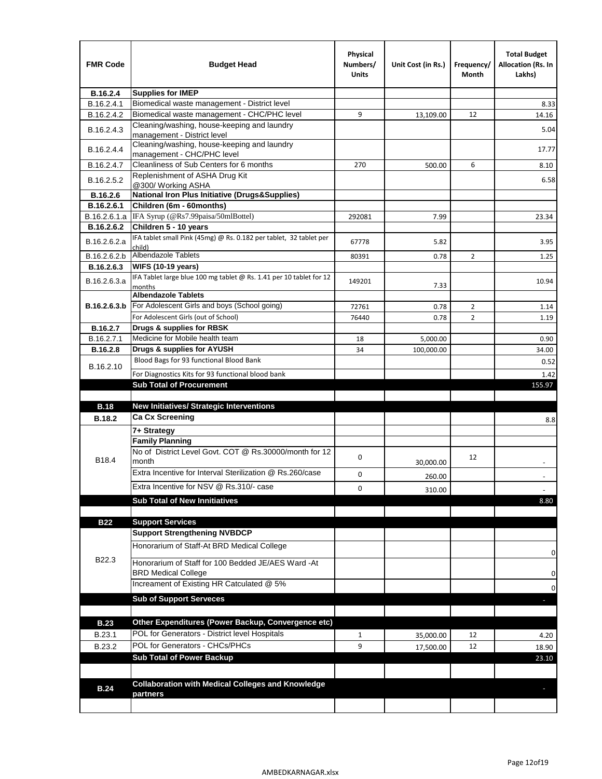| <b>FMR Code</b> | <b>Budget Head</b>                                                            | Physical<br>Numbers/<br><b>Units</b> | Unit Cost (in Rs.) | Frequency/<br>Month | <b>Total Budget</b><br><b>Allocation (Rs. In</b><br>Lakhs) |
|-----------------|-------------------------------------------------------------------------------|--------------------------------------|--------------------|---------------------|------------------------------------------------------------|
| B.16.2.4        | <b>Supplies for IMEP</b>                                                      |                                      |                    |                     |                                                            |
| B.16.2.4.1      | Biomedical waste management - District level                                  |                                      |                    |                     | 8.33                                                       |
| B.16.2.4.2      | Biomedical waste management - CHC/PHC level                                   | 9                                    | 13,109.00          | 12                  | 14.16                                                      |
| B.16.2.4.3      | Cleaning/washing, house-keeping and laundry<br>management - District level    |                                      |                    |                     | 5.04                                                       |
| B.16.2.4.4      | Cleaning/washing, house-keeping and laundry<br>management - CHC/PHC level     |                                      |                    |                     | 17.77                                                      |
| B.16.2.4.7      | Cleanliness of Sub Centers for 6 months                                       | 270                                  | 500.00             | 6                   | 8.10                                                       |
| B.16.2.5.2      | Replenishment of ASHA Drug Kit<br>@300/ Working ASHA                          |                                      |                    |                     | 6.58                                                       |
| B.16.2.6        | <b>National Iron Plus Initiative (Drugs&amp;Supplies)</b>                     |                                      |                    |                     |                                                            |
| B.16.2.6.1      | Children (6m - 60months)                                                      |                                      |                    |                     |                                                            |
| B.16.2.6.1.a    | IFA Syrup (@Rs7.99paisa/50mlBottel)                                           | 292081                               | 7.99               |                     | 23.34                                                      |
| B.16.2.6.2      | Children 5 - 10 years                                                         |                                      |                    |                     |                                                            |
| B.16.2.6.2.a    | IFA tablet small Pink (45mg) @ Rs. 0.182 per tablet, 32 tablet per<br>child)  | 67778                                | 5.82               |                     | 3.95                                                       |
| B.16.2.6.2.b    | <b>Albendazole Tablets</b>                                                    | 80391                                | 0.78               | 2                   | 1.25                                                       |
| B.16.2.6.3      | <b>WIFS (10-19 years)</b>                                                     |                                      |                    |                     |                                                            |
| B.16.2.6.3.a    | IFA Tablet large blue 100 mg tablet @ Rs. 1.41 per 10 tablet for 12<br>months | 149201                               | 7.33               |                     | 10.94                                                      |
|                 | <b>Albendazole Tablets</b>                                                    |                                      |                    |                     |                                                            |
| B.16.2.6.3.b    | For Adolescent Girls and boys (School going)                                  | 72761                                | 0.78               | $\overline{2}$      | 1.14                                                       |
|                 | For Adolescent Girls (out of School)                                          | 76440                                | 0.78               | $\overline{2}$      | 1.19                                                       |
| B.16.2.7        | Drugs & supplies for RBSK                                                     |                                      |                    |                     |                                                            |
| B.16.2.7.1      | Medicine for Mobile health team                                               | 18                                   | 5,000.00           |                     | 0.90                                                       |
| <b>B.16.2.8</b> | Drugs & supplies for AYUSH                                                    | 34                                   | 100,000.00         |                     | 34.00                                                      |
| B.16.2.10       | Blood Bags for 93 functional Blood Bank                                       |                                      |                    |                     | 0.52                                                       |
|                 | For Diagnostics Kits for 93 functional blood bank                             |                                      |                    |                     | 1.42                                                       |
|                 | <b>Sub Total of Procurement</b>                                               |                                      |                    |                     | 155.97                                                     |
| <b>B.18</b>     | <b>New Initiatives/ Strategic Interventions</b>                               |                                      |                    |                     |                                                            |
|                 | <b>Ca Cx Screening</b>                                                        |                                      |                    |                     |                                                            |
| <b>B.18.2</b>   |                                                                               |                                      |                    |                     | 8.8                                                        |
|                 | 7+ Strategy<br><b>Family Planning</b>                                         |                                      |                    |                     |                                                            |
| B18.4           | No of District Level Govt. COT @ Rs.30000/month for 12<br>month               | 0                                    |                    | 12                  |                                                            |
|                 | Extra Incentive for Interval Sterilization @ Rs.260/case                      |                                      | 30,000.00          |                     |                                                            |
|                 |                                                                               | 0                                    | 260.00             |                     |                                                            |
|                 | Extra Incentive for NSV @ Rs.310/- case                                       | 0                                    | 310.00             |                     |                                                            |
|                 | <b>Sub Total of New Innitiatives</b>                                          |                                      |                    |                     | 8.80                                                       |
|                 |                                                                               |                                      |                    |                     |                                                            |
| <b>B22</b>      | <b>Support Services</b><br><b>Support Strengthening NVBDCP</b>                |                                      |                    |                     |                                                            |
|                 | Honorarium of Staff-At BRD Medical College                                    |                                      |                    |                     |                                                            |
| B22.3           | Honorarium of Staff for 100 Bedded JE/AES Ward -At                            |                                      |                    |                     | 0                                                          |
|                 | <b>BRD Medical College</b><br>Increament of Existing HR Catculated @ 5%       |                                      |                    |                     | 0                                                          |
|                 |                                                                               |                                      |                    |                     | 0                                                          |
|                 | <b>Sub of Support Serveces</b>                                                |                                      |                    |                     |                                                            |
|                 |                                                                               |                                      |                    |                     |                                                            |
| <b>B.23</b>     | Other Expenditures (Power Backup, Convergence etc)                            |                                      |                    |                     |                                                            |
| B.23.1          | POL for Generators - District level Hospitals                                 | $\mathbf{1}$                         | 35,000.00          | 12                  | 4.20                                                       |
| B.23.2          | POL for Generators - CHCs/PHCs                                                | 9                                    | 17,500.00          | 12                  | 18.90                                                      |
|                 | <b>Sub Total of Power Backup</b>                                              |                                      |                    |                     | 23.10                                                      |
|                 |                                                                               |                                      |                    |                     |                                                            |
| <b>B.24</b>     | <b>Collaboration with Medical Colleges and Knowledge</b><br>partners          |                                      |                    |                     |                                                            |
|                 |                                                                               |                                      |                    |                     |                                                            |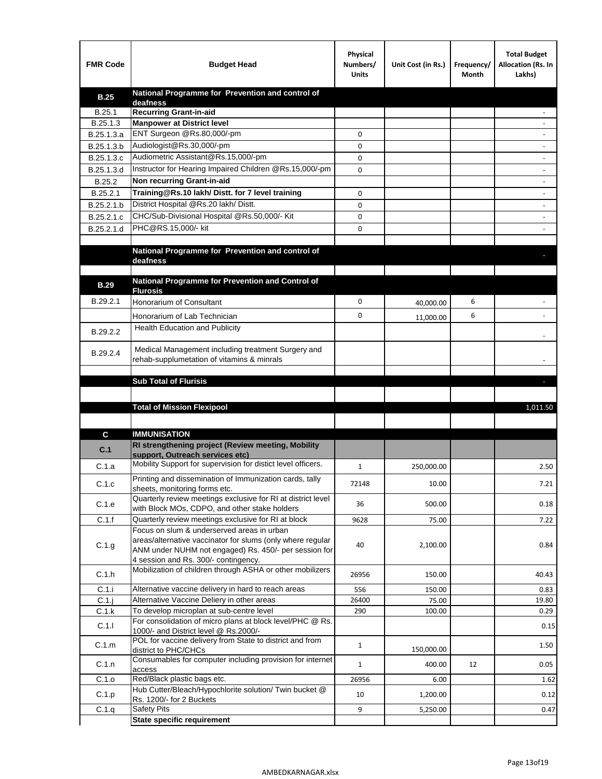| <b>FMR Code</b> | <b>Budget Head</b>                                                                                    | Physical<br>Numbers/<br><b>Units</b> | Unit Cost (in Rs.) | Frequency/<br>Month | <b>Total Budget</b><br>Allocation (Rs. In<br>Lakhs) |
|-----------------|-------------------------------------------------------------------------------------------------------|--------------------------------------|--------------------|---------------------|-----------------------------------------------------|
| <b>B.25</b>     | National Programme for Prevention and control of                                                      |                                      |                    |                     |                                                     |
| B.25.1          | deafness<br><b>Recurring Grant-in-aid</b>                                                             |                                      |                    |                     |                                                     |
| B.25.1.3        | <b>Manpower at District level</b>                                                                     |                                      |                    |                     |                                                     |
| B.25.1.3.a      | ENT Surgeon @Rs.80,000/-pm                                                                            | 0                                    |                    |                     |                                                     |
| B.25.1.3.b      | Audiologist@Rs.30,000/-pm                                                                             | 0                                    |                    |                     |                                                     |
| B.25.1.3.c      | Audiometric Assistant@Rs.15,000/-pm                                                                   | 0                                    |                    |                     |                                                     |
| B.25.1.3.d      | Instructor for Hearing Impaired Children @Rs.15,000/-pm                                               | 0                                    |                    |                     |                                                     |
| B.25.2          | Non recurring Grant-in-aid                                                                            |                                      |                    |                     |                                                     |
| B.25.2.1        | Training@Rs.10 lakh/ Distt. for 7 level training                                                      | 0                                    |                    |                     |                                                     |
| B.25.2.1.b      | District Hospital @Rs.20 lakh/Distt.                                                                  | 0                                    |                    |                     |                                                     |
| B.25.2.1.c      | CHC/Sub-Divisional Hospital @Rs.50,000/- Kit                                                          | 0                                    |                    |                     |                                                     |
| B.25.2.1.d      | PHC@RS.15,000/- kit                                                                                   | 0                                    |                    |                     |                                                     |
|                 |                                                                                                       |                                      |                    |                     |                                                     |
|                 | National Programme for Prevention and control of<br>deafness                                          |                                      |                    |                     |                                                     |
|                 |                                                                                                       |                                      |                    |                     |                                                     |
| <b>B.29</b>     | National Programme for Prevention and Control of                                                      |                                      |                    |                     |                                                     |
|                 | <b>Flurosis</b>                                                                                       |                                      |                    |                     |                                                     |
| B.29.2.1        | Honorarium of Consultant                                                                              | 0                                    | 40,000.00          | 6                   |                                                     |
|                 | Honorarium of Lab Technician                                                                          | 0                                    | 11,000.00          | 6                   |                                                     |
| B.29.2.2        | Health Education and Publicity                                                                        |                                      |                    |                     |                                                     |
|                 |                                                                                                       |                                      |                    |                     |                                                     |
| B.29.2.4        | Medical Management including treatment Surgery and<br>rehab-supplumetation of vitamins & minrals      |                                      |                    |                     |                                                     |
|                 |                                                                                                       |                                      |                    |                     |                                                     |
|                 | <b>Sub Total of Flurisis</b>                                                                          |                                      |                    |                     | ы                                                   |
|                 |                                                                                                       |                                      |                    |                     |                                                     |
|                 | <b>Total of Mission Flexipool</b>                                                                     |                                      |                    |                     | 1,011.50                                            |
|                 |                                                                                                       |                                      |                    |                     |                                                     |
| C               | <b>IMMUNISATION</b>                                                                                   |                                      |                    |                     |                                                     |
| C.1             | RI strengthening project (Review meeting, Mobility                                                    |                                      |                    |                     |                                                     |
|                 | support. Outreach services etc)                                                                       |                                      |                    |                     |                                                     |
| C.1.a           | Mobility Support for supervision for distict level officers.                                          | 1                                    | 250,000.00         |                     | 2.50                                                |
| C.1.c           | Printing and dissemination of Immunization cards, tally                                               | 72148                                | 10.00              |                     | 7.21                                                |
|                 | sheets, monitoring forms etc.<br>Quarterly review meetings exclusive for RI at district level         |                                      |                    |                     |                                                     |
| C.1.e           | with Block MOs, CDPO, and other stake holders                                                         | 36                                   | 500.00             |                     | 0.18                                                |
| C.1.f           | Quarterly review meetings exclusive for RI at block                                                   | 9628                                 | 75.00              |                     | 7.22                                                |
|                 | Focus on slum & underserved areas in urban                                                            |                                      |                    |                     |                                                     |
| C.1.g           | areas/alternative vaccinator for slums (only where regular                                            | 40                                   | 2,100.00           |                     | 0.84                                                |
|                 | ANM under NUHM not engaged) Rs. 450/- per session for<br>4 session and Rs. 300/- contingency.         |                                      |                    |                     |                                                     |
|                 | Mobilization of children through ASHA or other mobilizers                                             |                                      |                    |                     |                                                     |
| C.1.h           |                                                                                                       | 26956                                | 150.00             |                     | 40.43                                               |
| C.1.i           | Alternative vaccine delivery in hard to reach areas                                                   | 556                                  | 150.00             |                     | 0.83                                                |
| $C.1$ .j        | Alternative Vaccine Deliery in other areas                                                            | 26400                                | 75.00              |                     | 19.80                                               |
| C.1.k           | To develop microplan at sub-centre level<br>For consolidation of micro plans at block level/PHC @ Rs. | 290                                  | 100.00             |                     | 0.29                                                |
| C.1.1           | 1000/- and District level @ Rs.2000/-                                                                 |                                      |                    |                     | 0.15                                                |
| C.1.m           | POL for vaccine delivery from State to district and from                                              | $\mathbf{1}$                         |                    |                     | 1.50                                                |
|                 | district to PHC/CHCs<br>Consumables for computer including provision for internet                     |                                      | 150,000.00         |                     |                                                     |
| C.1.n           | access                                                                                                | $\mathbf{1}$                         | 400.00             | 12                  | 0.05                                                |
| C.1.o           | Red/Black plastic bags etc.                                                                           | 26956                                | 6.00               |                     | 1.62                                                |
| C.1.p           | Hub Cutter/Bleach/Hypochlorite solution/ Twin bucket @                                                | 10                                   | 1,200.00           |                     | 0.12                                                |
|                 | Rs. 1200/- for 2 Buckets                                                                              |                                      |                    |                     |                                                     |
| C.1.q           | <b>Safety Pits</b><br><b>State specific requirement</b>                                               | 9                                    | 5,250.00           |                     | 0.47                                                |
|                 |                                                                                                       |                                      |                    |                     |                                                     |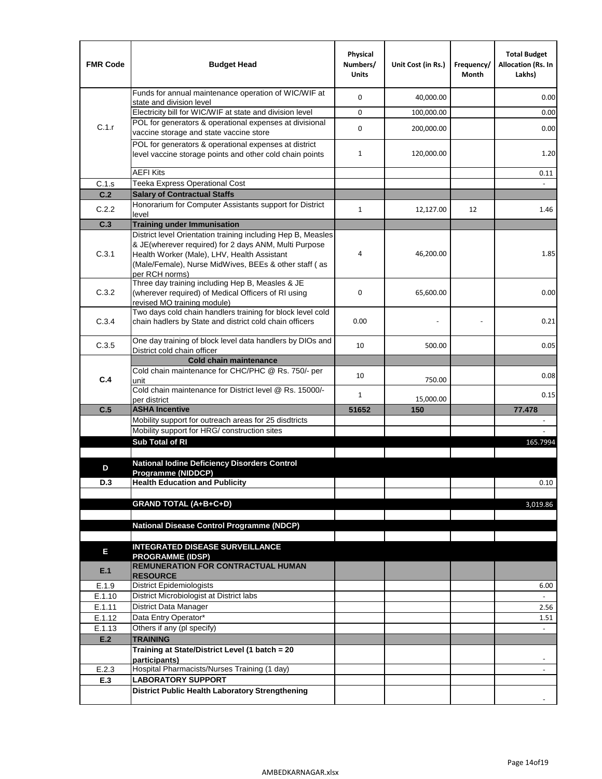| <b>FMR Code</b> | <b>Budget Head</b>                                                                                                                                                                                                                              | Physical<br>Numbers/<br><b>Units</b> | Unit Cost (in Rs.) | Frequency/<br>Month | <b>Total Budget</b><br><b>Allocation (Rs. In</b><br>Lakhs) |
|-----------------|-------------------------------------------------------------------------------------------------------------------------------------------------------------------------------------------------------------------------------------------------|--------------------------------------|--------------------|---------------------|------------------------------------------------------------|
|                 | Funds for annual maintenance operation of WIC/WIF at<br>state and division level                                                                                                                                                                | $\mathbf 0$                          | 40,000.00          |                     | 0.00                                                       |
|                 | Electricity bill for WIC/WIF at state and division level                                                                                                                                                                                        | $\mathbf 0$                          | 100,000.00         |                     | 0.00                                                       |
| C.1.r           | POL for generators & operational expenses at divisional<br>vaccine storage and state vaccine store                                                                                                                                              | $\mathbf 0$                          | 200,000.00         |                     | 0.00                                                       |
|                 | POL for generators & operational expenses at district<br>level vaccine storage points and other cold chain points                                                                                                                               | $\mathbf{1}$                         | 120,000.00         |                     | 1.20                                                       |
|                 | <b>AEFI Kits</b>                                                                                                                                                                                                                                |                                      |                    |                     | 0.11                                                       |
| C.1.s           | Teeka Express Operational Cost                                                                                                                                                                                                                  |                                      |                    |                     |                                                            |
| C.2             | <b>Salary of Contractual Staffs</b>                                                                                                                                                                                                             |                                      |                    |                     |                                                            |
| C.2.2           | Honorarium for Computer Assistants support for District<br>level                                                                                                                                                                                | $\mathbf{1}$                         | 12,127.00          | 12                  | 1.46                                                       |
| C.3             | <b>Training under Immunisation</b>                                                                                                                                                                                                              |                                      |                    |                     |                                                            |
| C.3.1           | District level Orientation training including Hep B, Measles<br>& JE(wherever required) for 2 days ANM, Multi Purpose<br>Health Worker (Male), LHV, Health Assistant<br>(Male/Female), Nurse MidWives, BEEs & other staff (as<br>per RCH norms) | 4                                    | 46,200.00          |                     | 1.85                                                       |
| C.3.2           | Three day training including Hep B, Measles & JE<br>(wherever required) of Medical Officers of RI using<br>revised MO training module)                                                                                                          | $\mathbf 0$                          | 65,600.00          |                     | 0.00                                                       |
| C.3.4           | Two days cold chain handlers training for block level cold<br>chain hadlers by State and district cold chain officers                                                                                                                           | 0.00                                 |                    |                     | 0.21                                                       |
| C.3.5           | One day training of block level data handlers by DIOs and<br>District cold chain officer                                                                                                                                                        | 10                                   | 500.00             |                     | 0.05                                                       |
|                 | <b>Cold chain maintenance</b>                                                                                                                                                                                                                   |                                      |                    |                     |                                                            |
| C.4             | Cold chain maintenance for CHC/PHC @ Rs. 750/- per<br>unit                                                                                                                                                                                      | 10                                   | 750.00             |                     | 0.08                                                       |
|                 | Cold chain maintenance for District level @ Rs. 15000/-<br>per district                                                                                                                                                                         | $\mathbf{1}$                         | 15,000.00          |                     | 0.15                                                       |
| C.5             | <b>ASHA Incentive</b>                                                                                                                                                                                                                           | 51652                                | 150                |                     | 77.478                                                     |
|                 | Mobility support for outreach areas for 25 disdtricts                                                                                                                                                                                           |                                      |                    |                     |                                                            |
|                 | Mobility support for HRG/ construction sites                                                                                                                                                                                                    |                                      |                    |                     |                                                            |
|                 | Sub Total of RI                                                                                                                                                                                                                                 |                                      |                    |                     | 165.7994                                                   |
|                 | <b>National Iodine Deficiency Disorders Control</b>                                                                                                                                                                                             |                                      |                    |                     |                                                            |
| D               | Programme (NIDDCP)                                                                                                                                                                                                                              |                                      |                    |                     |                                                            |
| D.3             | <b>Health Education and Publicity</b>                                                                                                                                                                                                           |                                      |                    |                     | 0.10                                                       |
|                 | <b>GRAND TOTAL (A+B+C+D)</b>                                                                                                                                                                                                                    |                                      |                    |                     | 3,019.86                                                   |
|                 |                                                                                                                                                                                                                                                 |                                      |                    |                     |                                                            |
|                 | <b>National Disease Control Programme (NDCP)</b>                                                                                                                                                                                                |                                      |                    |                     |                                                            |
|                 | <b>INTEGRATED DISEASE SURVEILLANCE</b>                                                                                                                                                                                                          |                                      |                    |                     |                                                            |
| Е               | <b>PROGRAMME (IDSP)</b>                                                                                                                                                                                                                         |                                      |                    |                     |                                                            |
| E.1             | <b>REMUNERATION FOR CONTRACTUAL HUMAN</b><br><b>RESOURCE</b>                                                                                                                                                                                    |                                      |                    |                     |                                                            |
| E.1.9           | District Epidemiologists                                                                                                                                                                                                                        |                                      |                    |                     | 6.00                                                       |
| E.1.10          | District Microbiologist at District labs                                                                                                                                                                                                        |                                      |                    |                     |                                                            |
| E.1.11          | District Data Manager                                                                                                                                                                                                                           |                                      |                    |                     | 2.56                                                       |
| E.1.12          | Data Entry Operator*<br>Others if any (pl specify)                                                                                                                                                                                              |                                      |                    |                     | 1.51                                                       |
| E.1.13<br>E.2   | <b>TRAINING</b>                                                                                                                                                                                                                                 |                                      |                    |                     | $\omega$                                                   |
|                 | Training at State/District Level (1 batch = 20                                                                                                                                                                                                  |                                      |                    |                     |                                                            |
|                 | participants)                                                                                                                                                                                                                                   |                                      |                    |                     |                                                            |
| E.2.3           | Hospital Pharmacists/Nurses Training (1 day)                                                                                                                                                                                                    |                                      |                    |                     |                                                            |
| E.3             | <b>LABORATORY SUPPORT</b>                                                                                                                                                                                                                       |                                      |                    |                     |                                                            |
|                 | <b>District Public Health Laboratory Strengthening</b>                                                                                                                                                                                          |                                      |                    |                     |                                                            |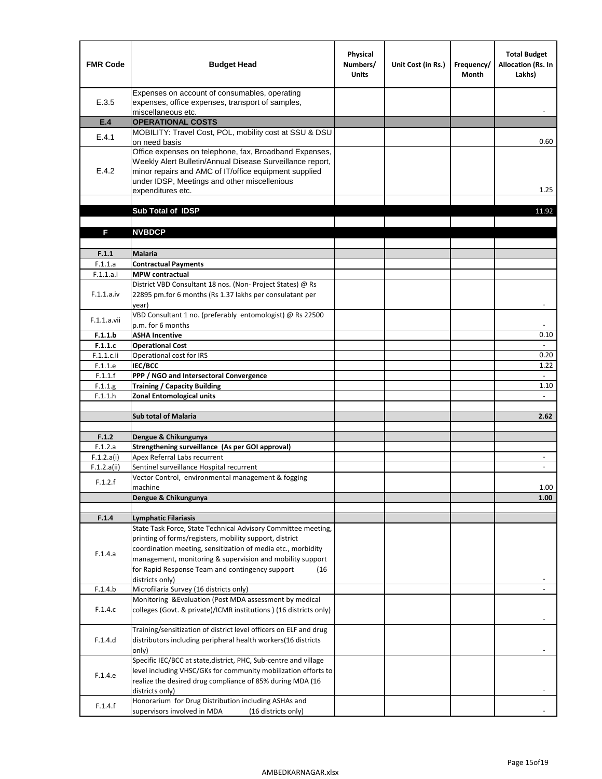| <b>FMR Code</b> | <b>Budget Head</b>                                                                                                                                                                                                                                | Physical<br>Numbers/<br><b>Units</b> | Unit Cost (in Rs.) | Frequency/<br><b>Month</b> | <b>Total Budget</b><br>Allocation (Rs. In<br>Lakhs) |
|-----------------|---------------------------------------------------------------------------------------------------------------------------------------------------------------------------------------------------------------------------------------------------|--------------------------------------|--------------------|----------------------------|-----------------------------------------------------|
| E.3.5           | Expenses on account of consumables, operating<br>expenses, office expenses, transport of samples,<br>miscellaneous etc.                                                                                                                           |                                      |                    |                            |                                                     |
| E.4             | <b>OPERATIONAL COSTS</b>                                                                                                                                                                                                                          |                                      |                    |                            |                                                     |
| E.4.1           | MOBILITY: Travel Cost, POL, mobility cost at SSU & DSU<br>on need basis                                                                                                                                                                           |                                      |                    |                            | 0.60                                                |
| E.4.2           | Office expenses on telephone, fax, Broadband Expenses,<br>Weekly Alert Bulletin/Annual Disease Surveillance report,<br>minor repairs and AMC of IT/office equipment supplied<br>under IDSP, Meetings and other miscellenious<br>expenditures etc. |                                      |                    |                            | 1.25                                                |
|                 | Sub Total of IDSP                                                                                                                                                                                                                                 |                                      |                    |                            | 11.92                                               |
|                 |                                                                                                                                                                                                                                                   |                                      |                    |                            |                                                     |
| F               | <b>NVBDCP</b>                                                                                                                                                                                                                                     |                                      |                    |                            |                                                     |
|                 |                                                                                                                                                                                                                                                   |                                      |                    |                            |                                                     |
| F.1.1           | Malaria                                                                                                                                                                                                                                           |                                      |                    |                            |                                                     |
| F.1.1.a         | <b>Contractual Payments</b>                                                                                                                                                                                                                       |                                      |                    |                            |                                                     |
| F.1.1.a.i       | <b>MPW</b> contractual<br>District VBD Consultant 18 nos. (Non-Project States) @ Rs                                                                                                                                                               |                                      |                    |                            |                                                     |
| F.1.1.a.iv      | 22895 pm.for 6 months (Rs 1.37 lakhs per consulatant per<br>year)                                                                                                                                                                                 |                                      |                    |                            | $\blacksquare$                                      |
| F.1.1.a.vii     | VBD Consultant 1 no. (preferably entomologist) @ Rs 22500<br>p.m. for 6 months                                                                                                                                                                    |                                      |                    |                            |                                                     |
| F.1.1.b         | <b>ASHA Incentive</b>                                                                                                                                                                                                                             |                                      |                    |                            | 0.10                                                |
| F.1.1.c         | <b>Operational Cost</b>                                                                                                                                                                                                                           |                                      |                    |                            | $\blacksquare$                                      |
| F.1.1.c.ii      | Operational cost for IRS                                                                                                                                                                                                                          |                                      |                    |                            | 0.20                                                |
| F.1.1.e         | IEC/BCC                                                                                                                                                                                                                                           |                                      |                    |                            | 1.22                                                |
| F.1.1.f         | PPP / NGO and Intersectoral Convergence                                                                                                                                                                                                           |                                      |                    |                            | $\omega$                                            |
| F.1.1.g         | <b>Training / Capacity Building</b>                                                                                                                                                                                                               |                                      |                    |                            | 1.10                                                |
| F.1.1.h         | <b>Zonal Entomological units</b>                                                                                                                                                                                                                  |                                      |                    |                            |                                                     |
|                 | <b>Sub total of Malaria</b>                                                                                                                                                                                                                       |                                      |                    |                            | 2.62                                                |
|                 |                                                                                                                                                                                                                                                   |                                      |                    |                            |                                                     |
| F.1.2           | Dengue & Chikungunya                                                                                                                                                                                                                              |                                      |                    |                            |                                                     |
| F.1.2.a         | Strengthening surveillance (As per GOI approval)                                                                                                                                                                                                  |                                      |                    |                            |                                                     |
| F.1.2.a(i)      | Apex Referral Labs recurrent                                                                                                                                                                                                                      |                                      |                    |                            | $\overline{\phantom{a}}$                            |
| F.1.2.a(ii)     | Sentinel surveillance Hospital recurrent                                                                                                                                                                                                          |                                      |                    |                            |                                                     |
| F.1.2.f         | Vector Control, environmental management & fogging<br>machine                                                                                                                                                                                     |                                      |                    |                            | 1.00                                                |
|                 | Dengue & Chikungunya                                                                                                                                                                                                                              |                                      |                    |                            | 1.00                                                |
|                 |                                                                                                                                                                                                                                                   |                                      |                    |                            |                                                     |
| F.1.4           | <b>Lymphatic Filariasis</b>                                                                                                                                                                                                                       |                                      |                    |                            |                                                     |
|                 | State Task Force, State Technical Advisory Committee meeting,                                                                                                                                                                                     |                                      |                    |                            |                                                     |
|                 | printing of forms/registers, mobility support, district                                                                                                                                                                                           |                                      |                    |                            |                                                     |
| F.1.4.a         | coordination meeting, sensitization of media etc., morbidity                                                                                                                                                                                      |                                      |                    |                            |                                                     |
|                 | management, monitoring & supervision and mobility support                                                                                                                                                                                         |                                      |                    |                            |                                                     |
|                 | for Rapid Response Team and contingency support<br>(16)                                                                                                                                                                                           |                                      |                    |                            |                                                     |
| F.1.4.b         | districts only)<br>Microfilaria Survey (16 districts only)                                                                                                                                                                                        |                                      |                    |                            |                                                     |
|                 | Monitoring & Evaluation (Post MDA assessment by medical                                                                                                                                                                                           |                                      |                    |                            |                                                     |
| F.1.4.c         | colleges (Govt. & private)/ICMR institutions ) (16 districts only)                                                                                                                                                                                |                                      |                    |                            |                                                     |
|                 | Training/sensitization of district level officers on ELF and drug                                                                                                                                                                                 |                                      |                    |                            |                                                     |
| F.1.4.d         | distributors including peripheral health workers(16 districts                                                                                                                                                                                     |                                      |                    |                            |                                                     |
|                 | only)                                                                                                                                                                                                                                             |                                      |                    |                            |                                                     |
|                 | Specific IEC/BCC at state, district, PHC, Sub-centre and village                                                                                                                                                                                  |                                      |                    |                            |                                                     |
| F.1.4.e         | level including VHSC/GKs for community mobilization efforts to                                                                                                                                                                                    |                                      |                    |                            |                                                     |
|                 | realize the desired drug compliance of 85% during MDA (16                                                                                                                                                                                         |                                      |                    |                            |                                                     |
|                 | districts only)<br>Honorarium for Drug Distribution including ASHAs and                                                                                                                                                                           |                                      |                    |                            |                                                     |
| F.1.4.f         | supervisors involved in MDA<br>(16 districts only)                                                                                                                                                                                                |                                      |                    |                            |                                                     |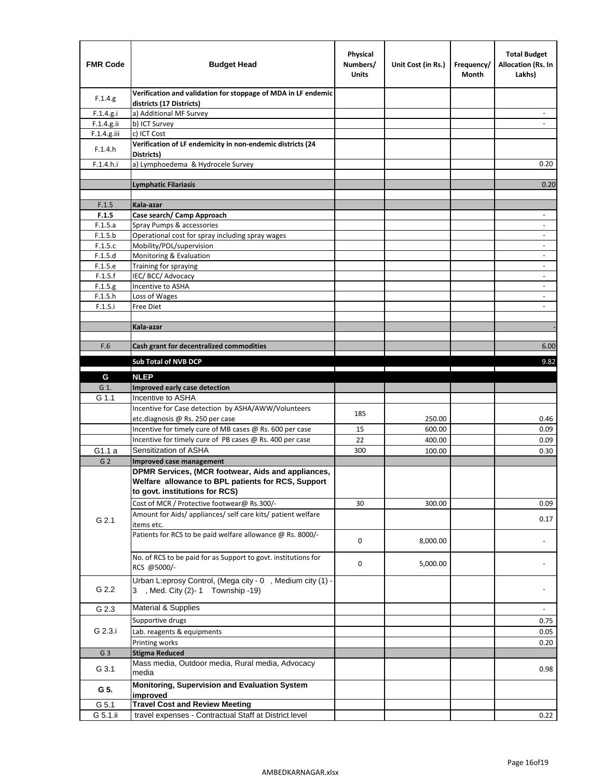| <b>FMR Code</b>    | <b>Budget Head</b>                                                                             | Physical<br>Numbers/<br><b>Units</b> | Unit Cost (in Rs.) | Frequency/<br>Month | <b>Total Budget</b><br><b>Allocation (Rs. In</b><br>Lakhs) |
|--------------------|------------------------------------------------------------------------------------------------|--------------------------------------|--------------------|---------------------|------------------------------------------------------------|
| F.1.4.g.           | Verification and validation for stoppage of MDA in LF endemic<br>districts (17 Districts)      |                                      |                    |                     |                                                            |
| F.1.4.g.i          | a) Additional MF Survey                                                                        |                                      |                    |                     |                                                            |
| F.1.4.g.ii         | b) ICT Survey                                                                                  |                                      |                    |                     |                                                            |
| $F.1.4.g.$ iii     | c) ICT Cost                                                                                    |                                      |                    |                     |                                                            |
| F.1.4.h            | Verification of LF endemicity in non-endemic districts (24<br>Districts)                       |                                      |                    |                     |                                                            |
| F.1.4.h.i          | a) Lymphoedema & Hydrocele Survey                                                              |                                      |                    |                     | 0.20                                                       |
|                    | Lymphatic Filariasis                                                                           |                                      |                    |                     | 0.20                                                       |
|                    |                                                                                                |                                      |                    |                     |                                                            |
| F.1.5              | Kala-azar                                                                                      |                                      |                    |                     |                                                            |
| F.1.5              | Case search/ Camp Approach                                                                     |                                      |                    |                     | $\overline{\phantom{a}}$                                   |
| F.1.5.a            | Spray Pumps & accessories                                                                      |                                      |                    |                     | $\blacksquare$                                             |
| F.1.5.b            | Operational cost for spray including spray wages                                               |                                      |                    |                     |                                                            |
| F.1.5.c            | Mobility/POL/supervision                                                                       |                                      |                    |                     | $\overline{\phantom{a}}$                                   |
| F.1.5.d            | Monitoring & Evaluation                                                                        |                                      |                    |                     | $\blacksquare$                                             |
| F.1.5.e<br>F.1.5.f | Training for spraying<br>IEC/BCC/Advocacy                                                      |                                      |                    |                     | $\overline{a}$                                             |
| F.1.5.g            | Incentive to ASHA                                                                              |                                      |                    |                     | $\overline{\phantom{a}}$                                   |
| F.1.5.h            | Loss of Wages                                                                                  |                                      |                    |                     | $\qquad \qquad \blacksquare$                               |
| F.1.5.i            | Free Diet                                                                                      |                                      |                    |                     |                                                            |
|                    |                                                                                                |                                      |                    |                     |                                                            |
|                    | Kala-azar                                                                                      |                                      |                    |                     |                                                            |
|                    |                                                                                                |                                      |                    |                     |                                                            |
| F.6                | Cash grant for decentralized commodities                                                       |                                      |                    |                     | 6.00                                                       |
|                    | <b>Sub Total of NVB DCP</b>                                                                    |                                      |                    |                     | 9.82                                                       |
|                    |                                                                                                |                                      |                    |                     |                                                            |
| G                  | <b>NLEP</b>                                                                                    |                                      |                    |                     |                                                            |
| G 1.               | Improved early case detection                                                                  |                                      |                    |                     |                                                            |
| G 1.1              | Incentive to ASHA                                                                              |                                      |                    |                     |                                                            |
|                    | Incentive for Case detection by ASHA/AWW/Volunteers                                            | 185                                  |                    |                     | 0.46                                                       |
|                    | etc.diagnosis @ Rs. 250 per case<br>Incentive for timely cure of MB cases @ Rs. 600 per case   | 15                                   | 250.00<br>600.00   |                     | 0.09                                                       |
|                    | Incentive for timely cure of PB cases @ Rs. 400 per case                                       | 22                                   | 400.00             |                     | 0.09                                                       |
| G1.1 a             | Sensitization of ASHA                                                                          | 300                                  | 100.00             |                     | 0.30                                                       |
| G <sub>2</sub>     | <b>Improved case management</b>                                                                |                                      |                    |                     |                                                            |
|                    | DPMR Services, (MCR footwear, Aids and appliances,                                             |                                      |                    |                     |                                                            |
|                    | Welfare allowance to BPL patients for RCS, Support                                             |                                      |                    |                     |                                                            |
|                    | to govt. institutions for RCS)                                                                 |                                      |                    |                     |                                                            |
|                    | Cost of MCR / Protective footwear@ Rs.300/-                                                    | 30                                   | 300.00             |                     | 0.09                                                       |
|                    | Amount for Aids/ appliances/ self care kits/ patient welfare                                   |                                      |                    |                     |                                                            |
| G 2.1              | items etc.                                                                                     |                                      |                    |                     | 0.17                                                       |
|                    | Patients for RCS to be paid welfare allowance @ Rs. 8000/-                                     |                                      |                    |                     |                                                            |
|                    |                                                                                                | 0                                    | 8,000.00           |                     |                                                            |
|                    | No. of RCS to be paid for as Support to govt. institutions for                                 |                                      |                    |                     |                                                            |
|                    | RCS @5000/-                                                                                    | 0                                    | 5,000.00           |                     |                                                            |
|                    |                                                                                                |                                      |                    |                     |                                                            |
| G 2.2              | Urban L:eprosy Control, (Mega city - 0, Medium city (1) -<br>3 , Med. City (2)-1 Township -19) |                                      |                    |                     |                                                            |
|                    |                                                                                                |                                      |                    |                     |                                                            |
| G 2.3              | Material & Supplies                                                                            |                                      |                    |                     | $\frac{1}{2}$                                              |
|                    | Supportive drugs                                                                               |                                      |                    |                     | 0.75                                                       |
| G 2.3.i            | Lab. reagents & equipments                                                                     |                                      |                    |                     | 0.05                                                       |
|                    | Printing works                                                                                 |                                      |                    |                     | 0.20                                                       |
| G <sub>3</sub>     | <b>Stigma Reduced</b>                                                                          |                                      |                    |                     |                                                            |
|                    | Mass media, Outdoor media, Rural media, Advocacy                                               |                                      |                    |                     |                                                            |
| G 3.1              | media                                                                                          |                                      |                    |                     | 0.98                                                       |
|                    | Monitoring, Supervision and Evaluation System                                                  |                                      |                    |                     |                                                            |
| G 5.               | improved                                                                                       |                                      |                    |                     |                                                            |
| G 5.1              | <b>Travel Cost and Review Meeting</b>                                                          |                                      |                    |                     |                                                            |
| G 5.1.ii           | travel expenses - Contractual Staff at District level                                          |                                      |                    |                     | 0.22                                                       |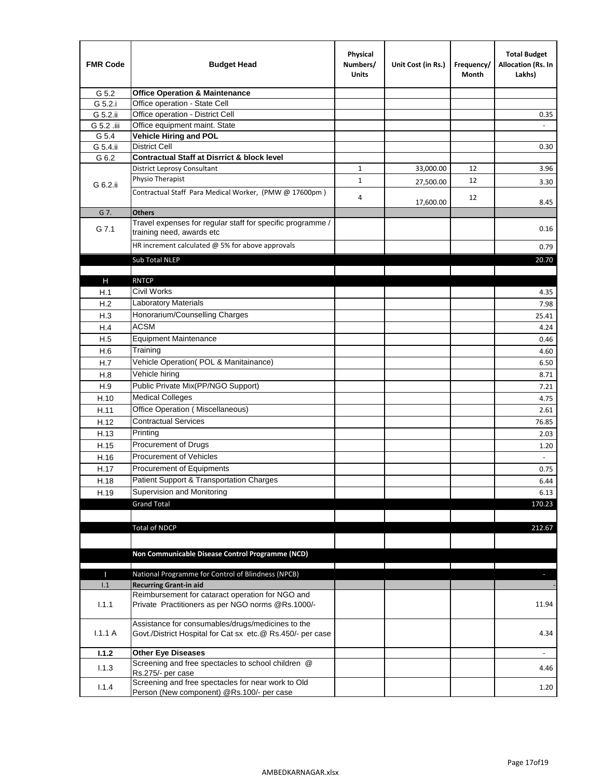| <b>FMR Code</b> | <b>Budget Head</b>                                                                                              | Physical<br>Numbers/<br><b>Units</b> | Unit Cost (in Rs.) | Frequency/<br>Month | <b>Total Budget</b><br>Allocation (Rs. In<br>Lakhs) |
|-----------------|-----------------------------------------------------------------------------------------------------------------|--------------------------------------|--------------------|---------------------|-----------------------------------------------------|
| G 5.2           | <b>Office Operation &amp; Maintenance</b>                                                                       |                                      |                    |                     |                                                     |
| G 5.2.i         | Office operation - State Cell                                                                                   |                                      |                    |                     |                                                     |
| G 5.2.ii        | Office operation - District Cell                                                                                |                                      |                    |                     | 0.35                                                |
| G 5.2 .iii      | Office equipment maint. State                                                                                   |                                      |                    |                     |                                                     |
| G 5.4           | Vehicle Hiring and POL                                                                                          |                                      |                    |                     |                                                     |
| G 5.4.ii        | <b>District Cell</b>                                                                                            |                                      |                    |                     | 0.30                                                |
| G 6.2           | <b>Contractual Staff at Disrrict &amp; block level</b>                                                          |                                      |                    |                     |                                                     |
|                 | <b>District Leprosy Consultant</b>                                                                              | 1                                    | 33,000.00          | 12                  | 3.96                                                |
| G 6.2.ii        | Physio Therapist                                                                                                | $\mathbf{1}$                         | 27,500.00          | 12                  | 3.30                                                |
|                 | Contractual Staff Para Medical Worker, (PMW @ 17600pm)                                                          | 4                                    | 17,600.00          | 12                  | 8.45                                                |
| G 7.            | <b>Others</b>                                                                                                   |                                      |                    |                     |                                                     |
| G 7.1           | Travel expenses for regular staff for specific programme /<br>training need, awards etc                         |                                      |                    |                     | 0.16                                                |
|                 | HR increment calculated $\omega$ 5% for above approvals                                                         |                                      |                    |                     | 0.79                                                |
|                 | Sub Total NLEP                                                                                                  |                                      |                    |                     | 20.70                                               |
|                 |                                                                                                                 |                                      |                    |                     |                                                     |
| Н               | <b>RNTCP</b>                                                                                                    |                                      |                    |                     |                                                     |
| H.1             | Civil Works                                                                                                     |                                      |                    |                     | 4.35                                                |
| H.2             | Laboratory Materials                                                                                            |                                      |                    |                     | 7.98                                                |
| H.3             | Honorarium/Counselling Charges                                                                                  |                                      |                    |                     | 25.41                                               |
| H.4             | <b>ACSM</b>                                                                                                     |                                      |                    |                     | 4.24                                                |
| H.5             | <b>Equipment Maintenance</b>                                                                                    |                                      |                    |                     | 0.46                                                |
| H.6             | Training                                                                                                        |                                      |                    |                     | 4.60                                                |
| H.7             | Vehicle Operation(POL & Manitainance)                                                                           |                                      |                    |                     | 6.50                                                |
| H.8             | Vehicle hiring                                                                                                  |                                      |                    |                     | 8.71                                                |
| H.9             | Public Private Mix(PP/NGO Support)                                                                              |                                      |                    |                     | 7.21                                                |
| H.10            | <b>Medical Colleges</b>                                                                                         |                                      |                    |                     | 4.75                                                |
| H.11            | Office Operation (Miscellaneous)                                                                                |                                      |                    |                     | 2.61                                                |
| H.12            | <b>Contractual Services</b>                                                                                     |                                      |                    |                     | 76.85                                               |
| H.13            | Printing                                                                                                        |                                      |                    |                     | 2.03                                                |
| H.15            | Procurement of Drugs                                                                                            |                                      |                    |                     | 1.20                                                |
| H.16            | Procurement of Vehicles                                                                                         |                                      |                    |                     | $\sim$                                              |
| H.17            | Procurement of Equipments                                                                                       |                                      |                    |                     | 0.75                                                |
| H.18            | Patient Support & Transportation Charges                                                                        |                                      |                    |                     | 6.44                                                |
| H.19            | Supervision and Monitoring                                                                                      |                                      |                    |                     | 6.13                                                |
|                 | <b>Grand Total</b>                                                                                              |                                      |                    |                     | 170.23                                              |
|                 |                                                                                                                 |                                      |                    |                     |                                                     |
|                 | <b>Total of NDCP</b>                                                                                            |                                      |                    |                     | 212.67                                              |
|                 | Non Communicable Disease Control Programme (NCD)                                                                |                                      |                    |                     |                                                     |
|                 |                                                                                                                 |                                      |                    |                     |                                                     |
| Т<br>1.1        | National Programme for Control of Blindness (NPCB)<br><b>Recurring Grant-in aid</b>                             |                                      |                    |                     | ÷.                                                  |
|                 | Reimbursement for cataract operation for NGO and                                                                |                                      |                    |                     |                                                     |
| 1.1.1           | Private Practitioners as per NGO norms @Rs.1000/-                                                               |                                      |                    |                     | 11.94                                               |
| 1.1.1A          | Assistance for consumables/drugs/medicines to the<br>Govt./District Hospital for Cat sx etc.@ Rs.450/- per case |                                      |                    |                     | 4.34                                                |
| 1.1.2           | <b>Other Eye Diseases</b>                                                                                       |                                      |                    |                     |                                                     |
| 1.1.3           | Screening and free spectacles to school children @                                                              |                                      |                    |                     | 4.46                                                |
|                 | Rs.275/- per case                                                                                               |                                      |                    |                     |                                                     |
| 1.1.4           | Screening and free spectacles for near work to Old<br>Person (New component) @Rs.100/- per case                 |                                      |                    |                     | 1.20                                                |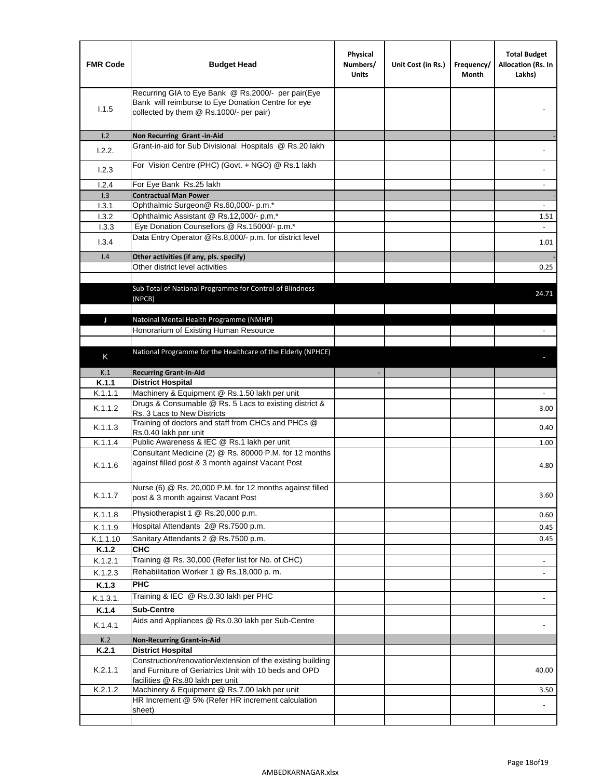| <b>FMR Code</b> | <b>Budget Head</b>                                                                                                                                      | Physical<br>Numbers/<br><b>Units</b> | Unit Cost (in Rs.) | Frequency/<br>Month | <b>Total Budget</b><br>Allocation (Rs. In<br>Lakhs) |
|-----------------|---------------------------------------------------------------------------------------------------------------------------------------------------------|--------------------------------------|--------------------|---------------------|-----------------------------------------------------|
| 1.1.5           | Recurring GIA to Eye Bank @ Rs.2000/- per pair(Eye<br>Bank will reimburse to Eye Donation Centre for eye<br>collected by them @ Rs.1000/- per pair)     |                                      |                    |                     |                                                     |
| 1.2             | Non Recurring Grant -in-Aid                                                                                                                             |                                      |                    |                     |                                                     |
| 1.2.2.          | Grant-in-aid for Sub Divisional Hospitals @ Rs.20 lakh                                                                                                  |                                      |                    |                     |                                                     |
| 1.2.3           | For Vision Centre (PHC) (Govt. + NGO) @ Rs.1 lakh                                                                                                       |                                      |                    |                     |                                                     |
| 1.2.4           | For Eye Bank Rs.25 lakh                                                                                                                                 |                                      |                    |                     | $\overline{\phantom{a}}$                            |
| 1.3             | <b>Contractual Man Power</b>                                                                                                                            |                                      |                    |                     |                                                     |
| 1.3.1           | Ophthalmic Surgeon@ Rs.60,000/- p.m.*                                                                                                                   |                                      |                    |                     |                                                     |
| 1.3.2<br>1.3.3  | Ophthalmic Assistant @ Rs.12,000/- p.m.*<br>Eye Donation Counsellors @ Rs.15000/- p.m.*                                                                 |                                      |                    |                     | 1.51<br>$\sim$                                      |
|                 | Data Entry Operator @Rs.8,000/- p.m. for district level                                                                                                 |                                      |                    |                     |                                                     |
| 1.3.4           |                                                                                                                                                         |                                      |                    |                     | 1.01                                                |
| 1.4             | Other activities (if any, pls. specify)                                                                                                                 |                                      |                    |                     |                                                     |
|                 | Other district level activities                                                                                                                         |                                      |                    |                     | 0.25                                                |
|                 | Sub Total of National Programme for Control of Blindness<br>(NPCB)                                                                                      |                                      |                    |                     | 24.71                                               |
| J               | Natoinal Mental Health Programme (NMHP)                                                                                                                 |                                      |                    |                     |                                                     |
|                 | Honorarium of Existing Human Resource                                                                                                                   |                                      |                    |                     |                                                     |
|                 |                                                                                                                                                         |                                      |                    |                     |                                                     |
| K               | National Programme for the Healthcare of the Elderly (NPHCE)                                                                                            |                                      |                    |                     |                                                     |
|                 |                                                                                                                                                         |                                      |                    |                     |                                                     |
| K.1             | <b>Recurring Grant-in-Aid</b>                                                                                                                           |                                      |                    |                     |                                                     |
| K.1.1           | <b>District Hospital</b>                                                                                                                                |                                      |                    |                     |                                                     |
| K.1.1.1         | Machinery & Equipment @ Rs.1.50 lakh per unit<br>Drugs & Consumable @ Rs. 5 Lacs to existing district &                                                 |                                      |                    |                     |                                                     |
| K.1.1.2         | Rs. 3 Lacs to New Districts                                                                                                                             |                                      |                    |                     | 3.00                                                |
| K.1.1.3         | Training of doctors and staff from CHCs and PHCs @<br>Rs.0.40 lakh per unit                                                                             |                                      |                    |                     | 0.40                                                |
| K.1.1.4         | Public Awareness & IEC @ Rs.1 lakh per unit                                                                                                             |                                      |                    |                     | 1.00                                                |
| K.1.1.6         | Consultant Medicine (2) @ Rs. 80000 P.M. for 12 months<br>against filled post & 3 month against Vacant Post                                             |                                      |                    |                     | 4.80                                                |
| K.1.1.7         | Nurse (6) @ Rs. 20,000 P.M. for 12 months against filled<br>post & 3 month against Vacant Post                                                          |                                      |                    |                     | 3.60                                                |
| K.1.1.8         | Physiotherapist 1 @ Rs.20,000 p.m.                                                                                                                      |                                      |                    |                     | 0.60                                                |
| K.1.1.9         | Hospital Attendants 2@ Rs.7500 p.m.                                                                                                                     |                                      |                    |                     | 0.45                                                |
| K.1.1.10        | Sanitary Attendants 2 @ Rs.7500 p.m.                                                                                                                    |                                      |                    |                     | 0.45                                                |
| K.1.2           | <b>CHC</b>                                                                                                                                              |                                      |                    |                     |                                                     |
| K.1.2.1         | Training @ Rs. 30,000 (Refer list for No. of CHC)                                                                                                       |                                      |                    |                     |                                                     |
| K.1.2.3         | Rehabilitation Worker 1 @ Rs.18,000 p. m.                                                                                                               |                                      |                    |                     |                                                     |
| K.1.3           | <b>PHC</b>                                                                                                                                              |                                      |                    |                     |                                                     |
| K.1.3.1.        | Training & IEC @ Rs.0.30 lakh per PHC                                                                                                                   |                                      |                    |                     |                                                     |
| K.1.4           | <b>Sub-Centre</b>                                                                                                                                       |                                      |                    |                     |                                                     |
|                 | Aids and Appliances @ Rs.0.30 lakh per Sub-Centre                                                                                                       |                                      |                    |                     |                                                     |
| K.1.4.1         |                                                                                                                                                         |                                      |                    |                     |                                                     |
| K.2             | <b>Non-Recurring Grant-in-Aid</b>                                                                                                                       |                                      |                    |                     |                                                     |
| K.2.1           | <b>District Hospital</b>                                                                                                                                |                                      |                    |                     |                                                     |
| K.2.1.1         | Construction/renovation/extension of the existing building<br>and Furniture of Geriatrics Unit with 10 beds and OPD<br>facilities @ Rs.80 lakh per unit |                                      |                    |                     | 40.00                                               |
| K.2.1.2         | Machinery & Equipment @ Rs.7.00 lakh per unit                                                                                                           |                                      |                    |                     | 3.50                                                |
|                 | HR Increment @ 5% (Refer HR increment calculation                                                                                                       |                                      |                    |                     |                                                     |
|                 | sheet)                                                                                                                                                  |                                      |                    |                     |                                                     |
|                 |                                                                                                                                                         |                                      |                    |                     |                                                     |